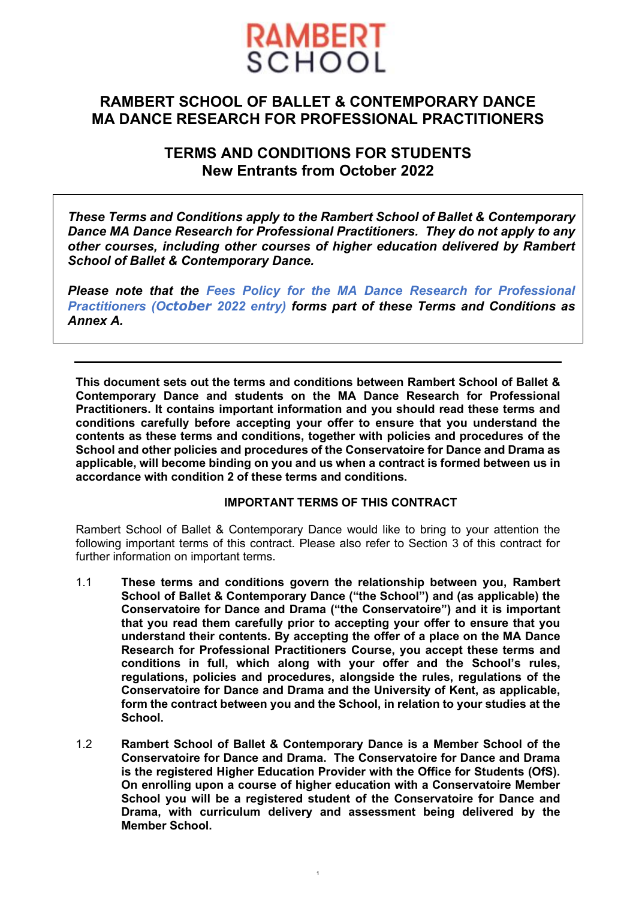# **RAMBERT**<br>SCHOOL

# **RAMBERT SCHOOL OF BALLET & CONTEMPORARY DANCE MA DANCE RESEARCH FOR PROFESSIONAL PRACTITIONERS**

**TERMS AND CONDITIONS FOR STUDENTS New Entrants from October 2022**

*These Terms and Conditions apply to the Rambert School of Ballet & Contemporary Dance MA Dance Research for Professional Practitioners. They do not apply to any other courses, including other courses of higher education delivered by Rambert School of Ballet & Contemporary Dance.*

*Please note that the [Fees Policy for the MA Dance Research for Professional](https://www.rambertschool.org.uk/courses/policies-and-procedures/)  [Practitioners \(O](https://www.rambertschool.org.uk/courses/policies-and-procedures/)ctober 2022 entry) forms part of these Terms and Conditions as Annex A.*

**This document sets out the terms and conditions between Rambert School of Ballet & Contemporary Dance and students on the MA Dance Research for Professional Practitioners. It contains important information and you should read these terms and conditions carefully before accepting your offer to ensure that you understand the contents as these terms and conditions, together with policies and procedures of the School and other policies and procedures of the Conservatoire for Dance and Drama as applicable, will become binding on you and us when a contract is formed between us in accordance with condition 2 of these terms and conditions.** 

#### **IMPORTANT TERMS OF THIS CONTRACT**

Rambert School of Ballet & Contemporary Dance would like to bring to your attention the following important terms of this contract. Please also refer to Section 3 of this contract for further information on important terms.

- 1.1 **These terms and conditions govern the relationship between you, Rambert School of Ballet & Contemporary Dance ("the School") and (as applicable) the Conservatoire for Dance and Drama ("the Conservatoire") and it is important that you read them carefully prior to accepting your offer to ensure that you understand their contents. By accepting the offer of a place on the MA Dance Research for Professional Practitioners Course, you accept these terms and conditions in full, which along with your offer and the School's rules, regulations, policies and procedures, alongside the rules, regulations of the Conservatoire for Dance and Drama and the University of Kent, as applicable, form the contract between you and the School, in relation to your studies at the School.**
- 1.2 **Rambert School of Ballet & Contemporary Dance is a Member School of the Conservatoire for Dance and Drama. The Conservatoire for Dance and Drama is the registered Higher Education Provider with the Office for Students (OfS). On enrolling upon a course of higher education with a Conservatoire Member School you will be a registered student of the Conservatoire for Dance and Drama, with curriculum delivery and assessment being delivered by the Member School.**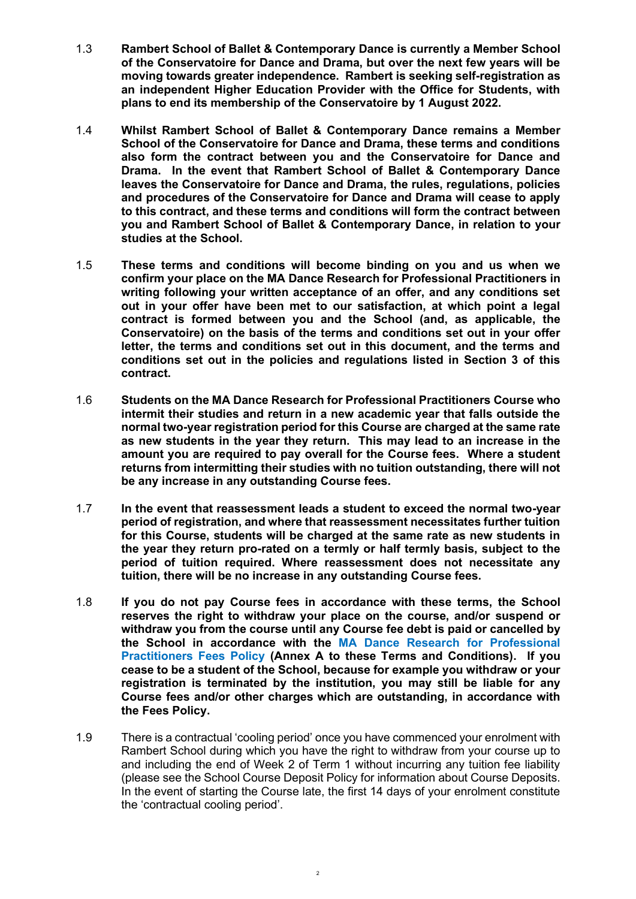- 1.3 **Rambert School of Ballet & Contemporary Dance is currently a Member School of the Conservatoire for Dance and Drama, but over the next few years will be moving towards greater independence. Rambert is seeking self-registration as an independent Higher Education Provider with the Office for Students, with plans to end its membership of the Conservatoire by 1 August 2022.**
- 1.4 **Whilst Rambert School of Ballet & Contemporary Dance remains a Member School of the Conservatoire for Dance and Drama, these terms and conditions also form the contract between you and the Conservatoire for Dance and Drama. In the event that Rambert School of Ballet & Contemporary Dance leaves the Conservatoire for Dance and Drama, the rules, regulations, policies and procedures of the Conservatoire for Dance and Drama will cease to apply to this contract, and these terms and conditions will form the contract between you and Rambert School of Ballet & Contemporary Dance, in relation to your studies at the School.**
- 1.5 **These terms and conditions will become binding on you and us when we confirm your place on the MA Dance Research for Professional Practitioners in writing following your written acceptance of an offer, and any conditions set out in your offer have been met to our satisfaction, at which point a legal contract is formed between you and the School (and, as applicable, the Conservatoire) on the basis of the terms and conditions set out in your offer letter, the terms and conditions set out in this document, and the terms and conditions set out in the policies and regulations listed in Section 3 of this contract.**
- 1.6 **Students on the MA Dance Research for Professional Practitioners Course who intermit their studies and return in a new academic year that falls outside the normal two-year registration period for this Course are charged at the same rate as new students in the year they return. This may lead to an increase in the amount you are required to pay overall for the Course fees. Where a student returns from intermitting their studies with no tuition outstanding, there will not be any increase in any outstanding Course fees.**
- 1.7 **In the event that reassessment leads a student to exceed the normal two-year period of registration, and where that reassessment necessitates further tuition for this Course, students will be charged at the same rate as new students in the year they return pro-rated on a termly or half termly basis, subject to the period of tuition required. Where reassessment does not necessitate any tuition, there will be no increase in any outstanding Course fees.**
- 1.8 **If you do not pay Course fees in accordance with these terms, the School reserves the right to withdraw your place on the course, and/or suspend or withdraw you from the course until any Course fee debt is paid or cancelled by the School in accordance with the [MA Dance Research for Professional](https://www.rambertschool.org.uk/courses/policies-and-procedures/)  [Practitioners Fees Policy](https://www.rambertschool.org.uk/courses/policies-and-procedures/) (Annex A to these Terms and Conditions). If you cease to be a student of the School, because for example you withdraw or your registration is terminated by the institution, you may still be liable for any Course fees and/or other charges which are outstanding, in accordance with the Fees Policy.**
- 1.9 There is a contractual 'cooling period' once you have commenced your enrolment with Rambert School during which you have the right to withdraw from your course up to and including the end of Week 2 of Term 1 without incurring any tuition fee liability (please see the School Course Deposit Policy for information about Course Deposits. In the event of starting the Course late, the first 14 days of your enrolment constitute the 'contractual cooling period'.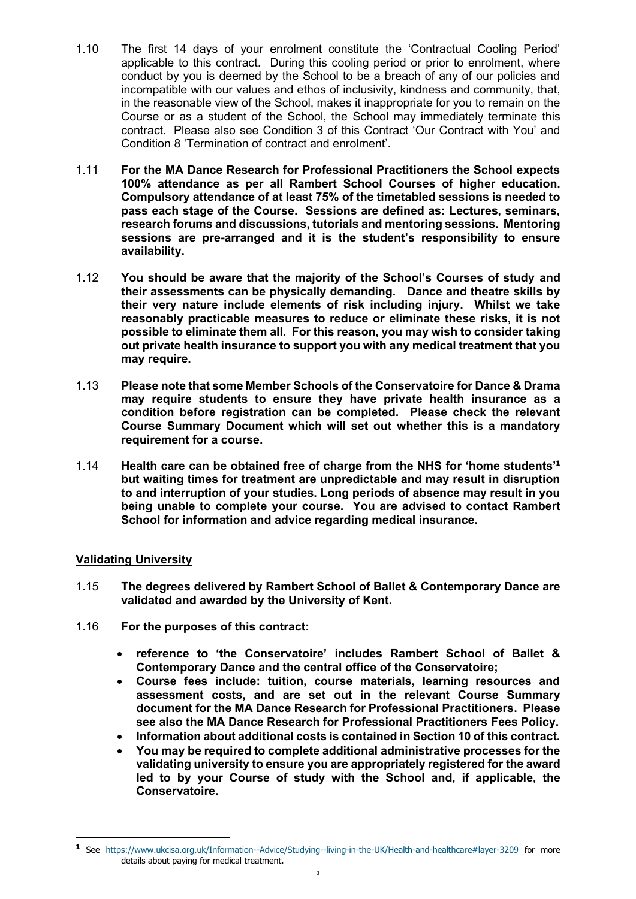- 1.10 The first 14 days of your enrolment constitute the 'Contractual Cooling Period' applicable to this contract. During this cooling period or prior to enrolment, where conduct by you is deemed by the School to be a breach of any of our policies and incompatible with our values and ethos of inclusivity, kindness and community, that, in the reasonable view of the School, makes it inappropriate for you to remain on the Course or as a student of the School, the School may immediately terminate this contract. Please also see Condition 3 of this Contract 'Our Contract with You' and Condition 8 'Termination of contract and enrolment'.
- 1.11 **For the MA Dance Research for Professional Practitioners the School expects 100% attendance as per all Rambert School Courses of higher education. Compulsory attendance of at least 75% of the timetabled sessions is needed to pass each stage of the Course. Sessions are defined as: Lectures, seminars, research forums and discussions, tutorials and mentoring sessions. Mentoring sessions are pre-arranged and it is the student's responsibility to ensure availability.**
- 1.12 **You should be aware that the majority of the School's Courses of study and their assessments can be physically demanding. Dance and theatre skills by their very nature include elements of risk including injury. Whilst we take reasonably practicable measures to reduce or eliminate these risks, it is not possible to eliminate them all. For this reason, you may wish to consider taking out private health insurance to support you with any medical treatment that you may require.**
- 1.13 **Please note that some Member Schools of the Conservatoire for Dance & Drama may require students to ensure they have private health insurance as a condition before registration can be completed. Please check the relevant Course Summary Document which will set out whether this is a mandatory requirement for a course.**
- 1.14 **Health care can be obtained free of charge from the NHS for 'home students' 1 but waiting times for treatment are unpredictable and may result in disruption to and interruption of your studies. Long periods of absence may result in you being unable to complete your course. You are advised to contact Rambert School for information and advice regarding medical insurance.**

#### **Validating University**

- 1.15 **The degrees delivered by Rambert School of Ballet & Contemporary Dance are validated and awarded by the University of Kent.**
- 1.16 **For the purposes of this contract:**
	- **reference to 'the Conservatoire' includes Rambert School of Ballet & Contemporary Dance and the central office of the Conservatoire;**
	- **Course fees include: tuition, course materials, learning resources and assessment costs, and are set out in the relevant Course Summary document for the MA Dance Research for Professional Practitioners. Please see also the MA Dance Research for Professional Practitioners Fees Policy.**
	- **Information about additional costs is contained in Section 10 of this contract.**
	- **You may be required to complete additional administrative processes for the validating university to ensure you are appropriately registered for the award led to by your Course of study with the School and, if applicable, the Conservatoire.**

**<sup>1</sup>** See <https://www.ukcisa.org.uk/Information--Advice/Studying--living-in-the-UK/Health-and-healthcare#layer-3209> for more details about paying for medical treatment.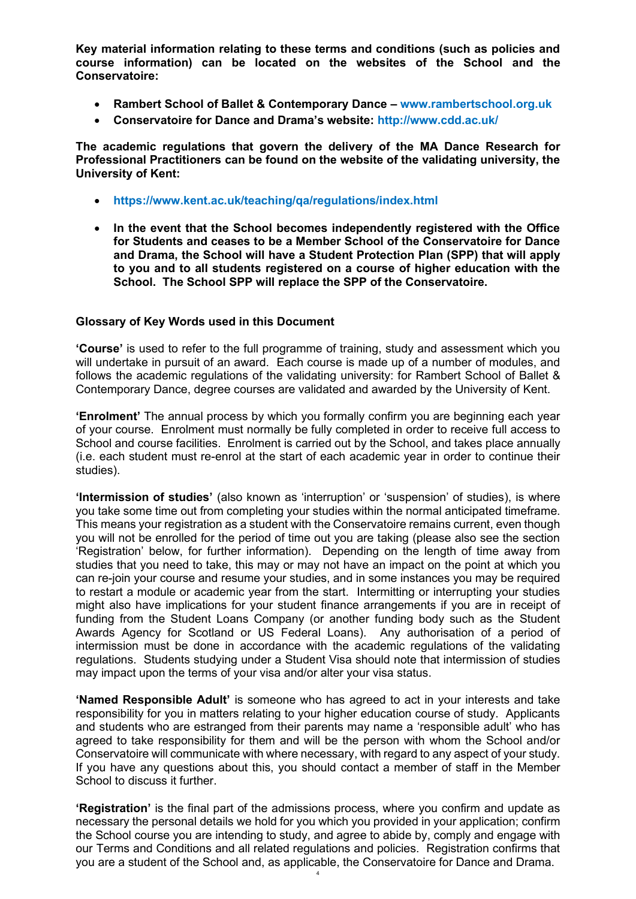**Key material information relating to these terms and conditions (such as policies and course information) can be located on the websites of the School and the Conservatoire:**

- **Rambert School of Ballet & Contemporary Dance – [www.rambertschool.org.uk](http://www.centralschoolofballet.co.uk/)**
- **Conservatoire for Dance and Drama's website: <http://www.cdd.ac.uk/>**

**The academic regulations that govern the delivery of the MA Dance Research for Professional Practitioners can be found on the website of the validating university, the University of Kent:**

- **<https://www.kent.ac.uk/teaching/qa/regulations/index.html>**
- **In the event that the School becomes independently registered with the Office for Students and ceases to be a Member School of the Conservatoire for Dance and Drama, the School will have a Student Protection Plan (SPP) that will apply to you and to all students registered on a course of higher education with the School. The School SPP will replace the SPP of the Conservatoire.**

#### **Glossary of Key Words used in this Document**

**'Course'** is used to refer to the full programme of training, study and assessment which you will undertake in pursuit of an award. Each course is made up of a number of modules, and follows the academic regulations of the validating university: for Rambert School of Ballet & Contemporary Dance, degree courses are validated and awarded by the University of Kent.

**'Enrolment'** The annual process by which you formally confirm you are beginning each year of your course. Enrolment must normally be fully completed in order to receive full access to School and course facilities. Enrolment is carried out by the School, and takes place annually (i.e. each student must re-enrol at the start of each academic year in order to continue their studies).

**'Intermission of studies'** (also known as 'interruption' or 'suspension' of studies), is where you take some time out from completing your studies within the normal anticipated timeframe. This means your registration as a student with the Conservatoire remains current, even though you will not be enrolled for the period of time out you are taking (please also see the section 'Registration' below, for further information). Depending on the length of time away from studies that you need to take, this may or may not have an impact on the point at which you can re-join your course and resume your studies, and in some instances you may be required to restart a module or academic year from the start. Intermitting or interrupting your studies might also have implications for your student finance arrangements if you are in receipt of funding from the Student Loans Company (or another funding body such as the Student Awards Agency for Scotland or US Federal Loans). Any authorisation of a period of intermission must be done in accordance with the academic regulations of the validating regulations. Students studying under a Student Visa should note that intermission of studies may impact upon the terms of your visa and/or alter your visa status.

**'Named Responsible Adult'** is someone who has agreed to act in your interests and take responsibility for you in matters relating to your higher education course of study. Applicants and students who are estranged from their parents may name a 'responsible adult' who has agreed to take responsibility for them and will be the person with whom the School and/or Conservatoire will communicate with where necessary, with regard to any aspect of your study. If you have any questions about this, you should contact a member of staff in the Member School to discuss it further.

**'Registration'** is the final part of the admissions process, where you confirm and update as necessary the personal details we hold for you which you provided in your application; confirm the School course you are intending to study, and agree to abide by, comply and engage with our Terms and Conditions and all related regulations and policies. Registration confirms that you are a student of the School and, as applicable, the Conservatoire for Dance and Drama.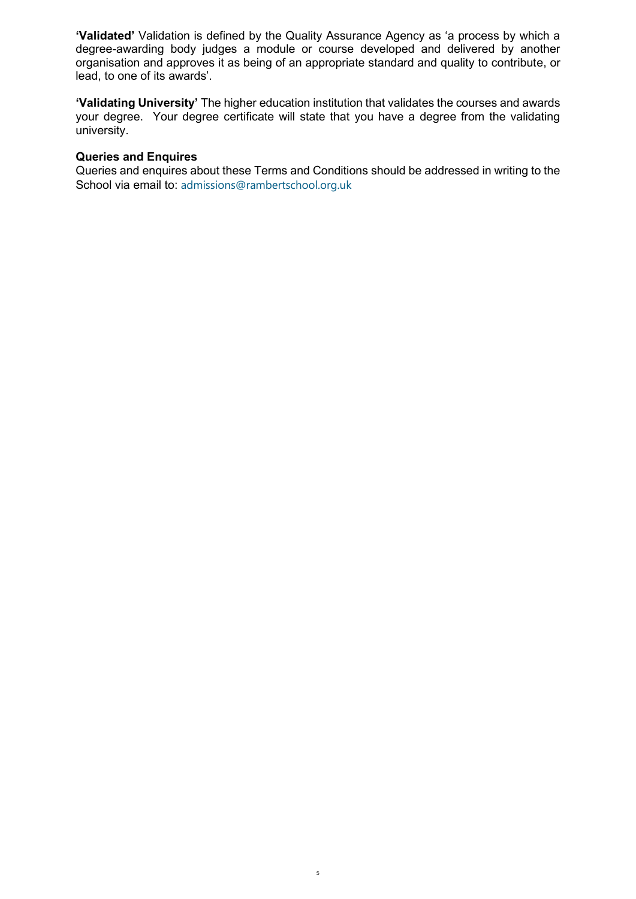**'Validated'** Validation is defined by the Quality Assurance Agency as 'a process by which a degree-awarding body judges a module or course developed and delivered by another organisation and approves it as being of an appropriate standard and quality to contribute, or lead, to one of its awards'.

**'Validating University'** The higher education institution that validates the courses and awards your degree. Your degree certificate will state that you have a degree from the validating university.

#### **Queries and Enquires**

Queries and enquires about these Terms and Conditions should be addressed in writing to the School via email to: [admissions@rambertschool.org.uk](mailto:admissions@rambertschool.org.uk)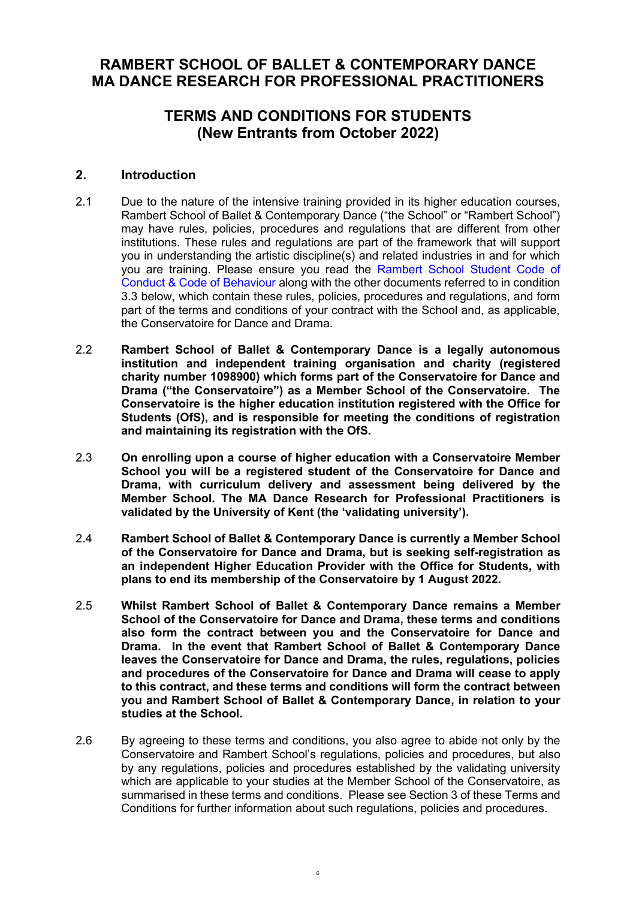# **RAMBERT SCHOOL OF BALLET & CONTEMPORARY DANCE MA DANCE RESEARCH FOR PROFESSIONAL PRACTITIONERS**

# **TERMS AND CONDITIONS FOR STUDENTS (New Entrants from October 2022)**

#### **2. Introduction**

- 2.1 Due to the nature of the intensive training provided in its higher education courses, Rambert School of Ballet & Contemporary Dance ("the School" or "Rambert School") may have rules, policies, procedures and regulations that are different from other institutions. These rules and regulations are part of the framework that will support you in understanding the artistic discipline(s) and related industries in and for which you are training. Please ensure you read the Rambert School Student Code of Conduct & Code of Behaviour along with the other documents referred to in condition 3.3 below, which contain these rules, policies, procedures and regulations, and form part of the terms and conditions of your contract with the School and, as applicable, the Conservatoire for Dance and Drama.
- 2.2 **Rambert School of Ballet & Contemporary Dance is a legally autonomous institution and independent training organisation and charity (registered charity number 1098900) which forms part of the Conservatoire for Dance and Drama ("the Conservatoire") as a Member School of the Conservatoire. The Conservatoire is the higher education institution registered with the Office for Students (OfS), and is responsible for meeting the conditions of registration and maintaining its registration with the OfS.**
- 2.3 **On enrolling upon a course of higher education with a Conservatoire Member School you will be a registered student of the Conservatoire for Dance and Drama, with curriculum delivery and assessment being delivered by the Member School. The MA Dance Research for Professional Practitioners is validated by the University of Kent (the 'validating university').**
- 2.4 **Rambert School of Ballet & Contemporary Dance is currently a Member School of the Conservatoire for Dance and Drama, but is seeking self-registration as an independent Higher Education Provider with the Office for Students, with plans to end its membership of the Conservatoire by 1 August 2022.**
- 2.5 **Whilst Rambert School of Ballet & Contemporary Dance remains a Member School of the Conservatoire for Dance and Drama, these terms and conditions also form the contract between you and the Conservatoire for Dance and Drama. In the event that Rambert School of Ballet & Contemporary Dance leaves the Conservatoire for Dance and Drama, the rules, regulations, policies and procedures of the Conservatoire for Dance and Drama will cease to apply to this contract, and these terms and conditions will form the contract between you and Rambert School of Ballet & Contemporary Dance, in relation to your studies at the School.**
- 2.6 By agreeing to these terms and conditions, you also agree to abide not only by the Conservatoire and Rambert School's regulations, policies and procedures, but also by any regulations, policies and procedures established by the validating university which are applicable to your studies at the Member School of the Conservatoire, as summarised in these terms and conditions. Please see Section 3 of these Terms and Conditions for further information about such regulations, policies and procedures.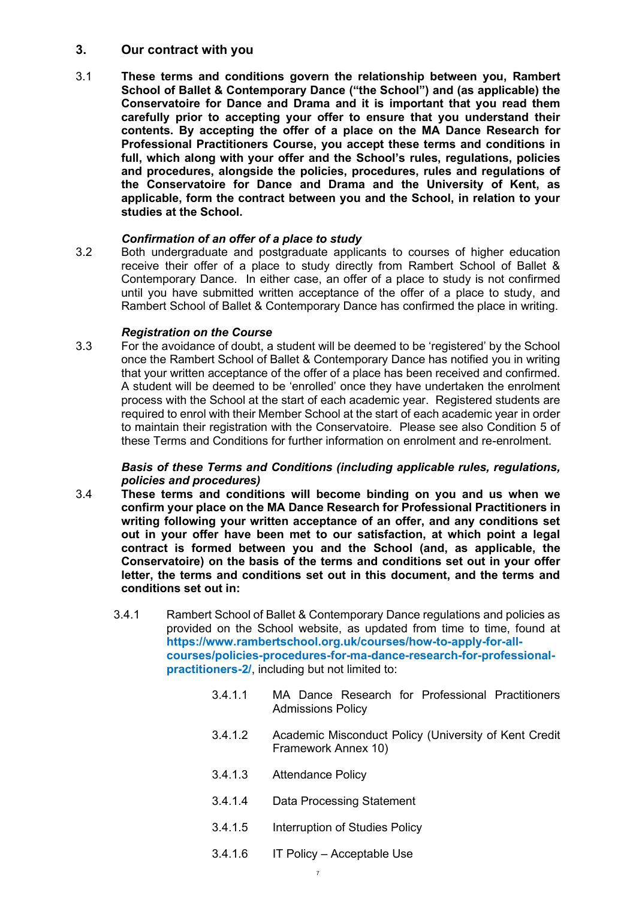#### **3. Our contract with you**

3.1 **These terms and conditions govern the relationship between you, Rambert School of Ballet & Contemporary Dance ("the School") and (as applicable) the Conservatoire for Dance and Drama and it is important that you read them carefully prior to accepting your offer to ensure that you understand their contents. By accepting the offer of a place on the MA Dance Research for Professional Practitioners Course, you accept these terms and conditions in full, which along with your offer and the School's rules, regulations, policies and procedures, alongside the policies, procedures, rules and regulations of the Conservatoire for Dance and Drama and the University of Kent, as applicable, form the contract between you and the School, in relation to your studies at the School.** 

#### *Confirmation of an offer of a place to study*

3.2 Both undergraduate and postgraduate applicants to courses of higher education receive their offer of a place to study directly from Rambert School of Ballet & Contemporary Dance. In either case, an offer of a place to study is not confirmed until you have submitted written acceptance of the offer of a place to study, and Rambert School of Ballet & Contemporary Dance has confirmed the place in writing.

#### *Registration on the Course*

3.3 For the avoidance of doubt, a student will be deemed to be 'registered' by the School once the Rambert School of Ballet & Contemporary Dance has notified you in writing that your written acceptance of the offer of a place has been received and confirmed. A student will be deemed to be 'enrolled' once they have undertaken the enrolment process with the School at the start of each academic year. Registered students are required to enrol with their Member School at the start of each academic year in order to maintain their registration with the Conservatoire. Please see also Condition 5 of these Terms and Conditions for further information on enrolment and re-enrolment.

#### *Basis of these Terms and Conditions (including applicable rules, regulations, policies and procedures)*

- 3.4 **These terms and conditions will become binding on you and us when we confirm your place on the MA Dance Research for Professional Practitioners in writing following your written acceptance of an offer, and any conditions set out in your offer have been met to our satisfaction, at which point a legal contract is formed between you and the School (and, as applicable, the Conservatoire) on the basis of the terms and conditions set out in your offer letter, the terms and conditions set out in this document, and the terms and conditions set out in:**
	- 3.4.1 Rambert School of Ballet & Contemporary Dance regulations and policies as provided on the School website, as updated from time to time, found at **[https://www.rambertschool.org.uk/courses/how-to-apply-for-all](https://www.rambertschool.org.uk/courses/how-to-apply-for-all-courses/policies-procedures-for-ma-dance-research-for-professional-practitioners-2/)[courses/policies-procedures-for-ma-dance-research-for-professional](https://www.rambertschool.org.uk/courses/how-to-apply-for-all-courses/policies-procedures-for-ma-dance-research-for-professional-practitioners-2/)[practitioners-2/](https://www.rambertschool.org.uk/courses/how-to-apply-for-all-courses/policies-procedures-for-ma-dance-research-for-professional-practitioners-2/)**, including but not limited to:
		- 3.4.1.1 MA Dance Research for Professional Practitioners Admissions Policy
		- 3.4.1.2 Academic Misconduct Policy (University of Kent Credit Framework Annex 10)
		- 3.4.1.3 Attendance Policy
		- 3.4.1.4 Data Processing Statement
		- 3.4.1.5 Interruption of Studies Policy
		- 3.4.1.6 IT Policy Acceptable Use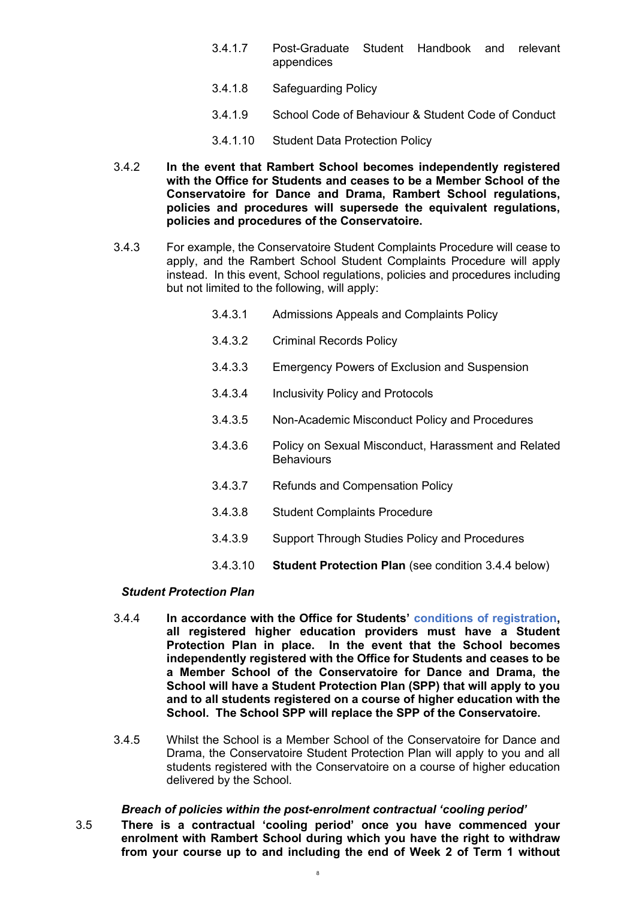- 3.4.1.7 Post-Graduate Student Handbook and relevant appendices
- 3.4.1.8 Safeguarding Policy
- 3.4.1.9 School Code of Behaviour & Student Code of Conduct
- 3.4.1.10 Student Data Protection Policy
- 3.4.2 **In the event that Rambert School becomes independently registered with the Office for Students and ceases to be a Member School of the Conservatoire for Dance and Drama, Rambert School regulations, policies and procedures will supersede the equivalent regulations, policies and procedures of the Conservatoire.**
- 3.4.3 For example, the Conservatoire Student Complaints Procedure will cease to apply, and the Rambert School Student Complaints Procedure will apply instead. In this event, School regulations, policies and procedures including but not limited to the following, will apply:

| 3.4.3.1  | Admissions Appeals and Complaints Policy                                 |
|----------|--------------------------------------------------------------------------|
| 3.4.3.2  | <b>Criminal Records Policy</b>                                           |
| 3.4.3.3  | <b>Emergency Powers of Exclusion and Suspension</b>                      |
| 3.4.3.4  | <b>Inclusivity Policy and Protocols</b>                                  |
| 3.4.3.5  | Non-Academic Misconduct Policy and Procedures                            |
| 3.4.3.6  | Policy on Sexual Misconduct, Harassment and Related<br><b>Behaviours</b> |
| 3.4.3.7  | <b>Refunds and Compensation Policy</b>                                   |
| 3.4.3.8  | <b>Student Complaints Procedure</b>                                      |
| 3.4.3.9  | <b>Support Through Studies Policy and Procedures</b>                     |
| 3.4.3.10 | <b>Student Protection Plan (see condition 3.4.4 below)</b>               |
|          |                                                                          |

#### *Student Protection Plan*

- 3.4.4 **In accordance with the Office for Students' [conditions of registration,](https://www.officeforstudents.org.uk/advice-and-guidance/regulation/conditions-of-registration/) all registered higher education providers must have a Student Protection Plan in place. In the event that the School becomes independently registered with the Office for Students and ceases to be a Member School of the Conservatoire for Dance and Drama, the School will have a Student Protection Plan (SPP) that will apply to you and to all students registered on a course of higher education with the School. The School SPP will replace the SPP of the Conservatoire.**
- 3.4.5 Whilst the School is a Member School of the Conservatoire for Dance and Drama, the Conservatoire Student Protection Plan will apply to you and all students registered with the Conservatoire on a course of higher education delivered by the School.

#### *Breach of policies within the post-enrolment contractual 'cooling period'*

3.5 **There is a contractual 'cooling period' once you have commenced your enrolment with Rambert School during which you have the right to withdraw from your course up to and including the end of Week 2 of Term 1 without**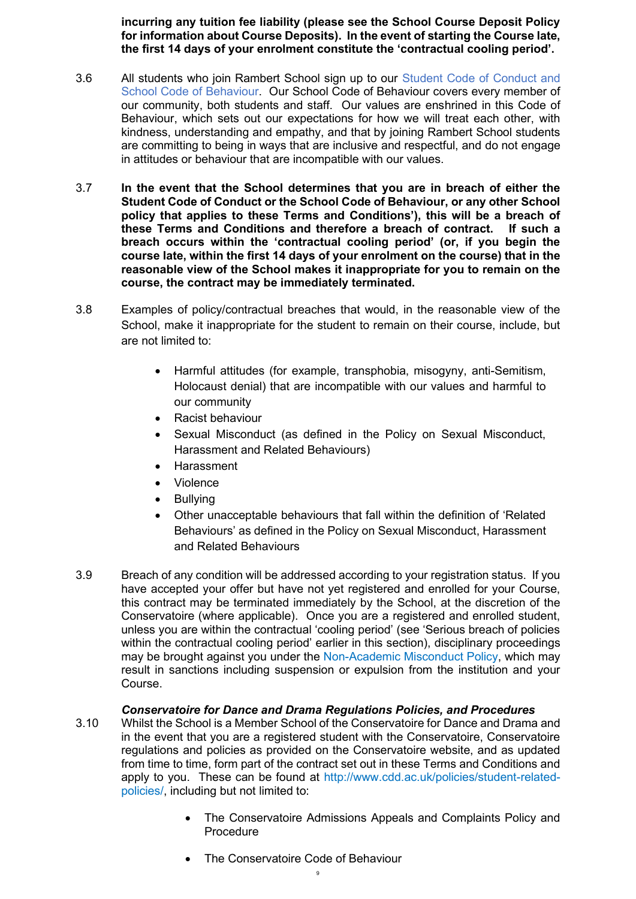**incurring any tuition fee liability (please see the School Course Deposit Policy for information about Course Deposits). In the event of starting the Course late, the first 14 days of your enrolment constitute the 'contractual cooling period'.**

- 3.6 All students who join Rambert School sign up to our [Student Code of Conduct and](https://www.rambertschool.org.uk/courses/undergraduate-courses/fdba-degree/)  [School Code of Behaviour.](https://www.rambertschool.org.uk/courses/undergraduate-courses/fdba-degree/) Our School Code of Behaviour covers every member of our community, both students and staff. Our values are enshrined in this Code of Behaviour, which sets out our expectations for how we will treat each other, with kindness, understanding and empathy, and that by joining Rambert School students are committing to being in ways that are inclusive and respectful, and do not engage in attitudes or behaviour that are incompatible with our values.
- 3.7 **In the event that the School determines that you are in breach of either the Student Code of Conduct or the School Code of Behaviour, or any other School policy that applies to these Terms and Conditions'), this will be a breach of these Terms and Conditions and therefore a breach of contract. If such a breach occurs within the 'contractual cooling period' (or, if you begin the course late, within the first 14 days of your enrolment on the course) that in the reasonable view of the School makes it inappropriate for you to remain on the course, the contract may be immediately terminated.**
- 3.8 Examples of policy/contractual breaches that would, in the reasonable view of the School, make it inappropriate for the student to remain on their course, include, but are not limited to:
	- Harmful attitudes (for example, transphobia, misogyny, anti-Semitism, Holocaust denial) that are incompatible with our values and harmful to our community
	- Racist behaviour
	- Sexual Misconduct (as defined in the Policy on Sexual Misconduct, Harassment and Related Behaviours)
	- **Harassment**
	- Violence
	- Bullying
	- Other unacceptable behaviours that fall within the definition of 'Related Behaviours' as defined in the Policy on Sexual Misconduct, Harassment and Related Behaviours
- 3.9 Breach of any condition will be addressed according to your registration status. If you have accepted your offer but have not yet registered and enrolled for your Course, this contract may be terminated immediately by the School, at the discretion of the Conservatoire (where applicable). Once you are a registered and enrolled student, unless you are within the contractual 'cooling period' (see 'Serious breach of policies within the contractual cooling period' earlier in this section), disciplinary proceedings may be brought against you under the [Non-Academic Misconduct Policy,](http://www.cdd.ac.uk/policies/student-related-policies/) which may result in sanctions including suspension or expulsion from the institution and your Course.

#### *Conservatoire for Dance and Drama Regulations Policies, and Procedures*

- 3.10 Whilst the School is a Member School of the Conservatoire for Dance and Drama and in the event that you are a registered student with the Conservatoire, Conservatoire regulations and policies as provided on the Conservatoire website, and as updated from time to time, form part of the contract set out in these Terms and Conditions and apply to you. These can be found at [http://www.cdd.ac.uk/policies/student-related](http://www.cdd.ac.uk/policies/student-related-policies/)[policies/,](http://www.cdd.ac.uk/policies/student-related-policies/) including but not limited to:
	- The Conservatoire Admissions Appeals and Complaints Policy and Procedure
	- The Conservatoire Code of Behaviour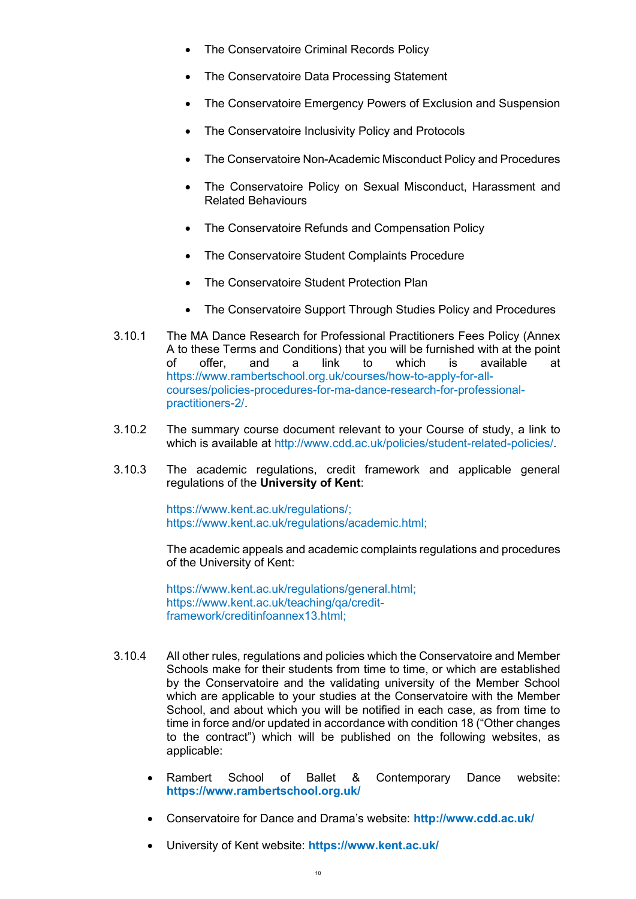- The Conservatoire Criminal Records Policy
- The Conservatoire Data Processing Statement
- The Conservatoire Emergency Powers of Exclusion and Suspension
- The Conservatoire Inclusivity Policy and Protocols
- The Conservatoire Non-Academic Misconduct Policy and Procedures
- The Conservatoire Policy on Sexual Misconduct, Harassment and Related Behaviours
- The Conservatoire Refunds and Compensation Policy
- The Conservatoire Student Complaints Procedure
- The Conservatoire Student Protection Plan
- The Conservatoire Support Through Studies Policy and Procedures
- 3.10.1 The MA Dance Research for Professional Practitioners Fees Policy (Annex A to these Terms and Conditions) that you will be furnished with at the point of offer, and a link to which is available at [https://www.rambertschool.org.uk/courses/how-to-apply-for-all](https://www.rambertschool.org.uk/courses/how-to-apply-for-all-courses/policies-procedures-for-ma-dance-research-for-professional-practitioners-2/)[courses/policies-procedures-for-ma-dance-research-for-professional](https://www.rambertschool.org.uk/courses/how-to-apply-for-all-courses/policies-procedures-for-ma-dance-research-for-professional-practitioners-2/)[practitioners-2/.](https://www.rambertschool.org.uk/courses/how-to-apply-for-all-courses/policies-procedures-for-ma-dance-research-for-professional-practitioners-2/)
- 3.10.2 The summary course document relevant to your Course of study, a link to which is available at [http://www.cdd.ac.uk/policies/student-related-policies/.](http://www.cdd.ac.uk/policies/student-related-policies/)
- 3.10.3 The academic regulations, credit framework and applicable general regulations of the **University of Kent**:

[https://www.kent.ac.uk/regulations/;](https://www.kent.ac.uk/regulations/) [https://www.kent.ac.uk/regulations/academic.html;](https://www.kent.ac.uk/regulations/academic.html)

The academic appeals and academic complaints regulations and procedures of the University of Kent:

[https://www.kent.ac.uk/regulations/general.html;](https://www.kent.ac.uk/regulations/general.html) [https://www.kent.ac.uk/teaching/qa/credit](https://www.kent.ac.uk/teaching/qa/credit-framework/creditinfoannex13.html)[framework/creditinfoannex13.html;](https://www.kent.ac.uk/teaching/qa/credit-framework/creditinfoannex13.html)

- 3.10.4 All other rules, regulations and policies which the Conservatoire and Member Schools make for their students from time to time, or which are established by the Conservatoire and the validating university of the Member School which are applicable to your studies at the Conservatoire with the Member School, and about which you will be notified in each case, as from time to time in force and/or updated in accordance with condition 18 ("Other changes to the contract") which will be published on the following websites, as applicable:
	- Rambert School of Ballet & Contemporary Dance website: **<https://www.rambertschool.org.uk/>**
	- Conservatoire for Dance and Drama's website: **<http://www.cdd.ac.uk/>**
	- University of Kent website: **<https://www.kent.ac.uk/>**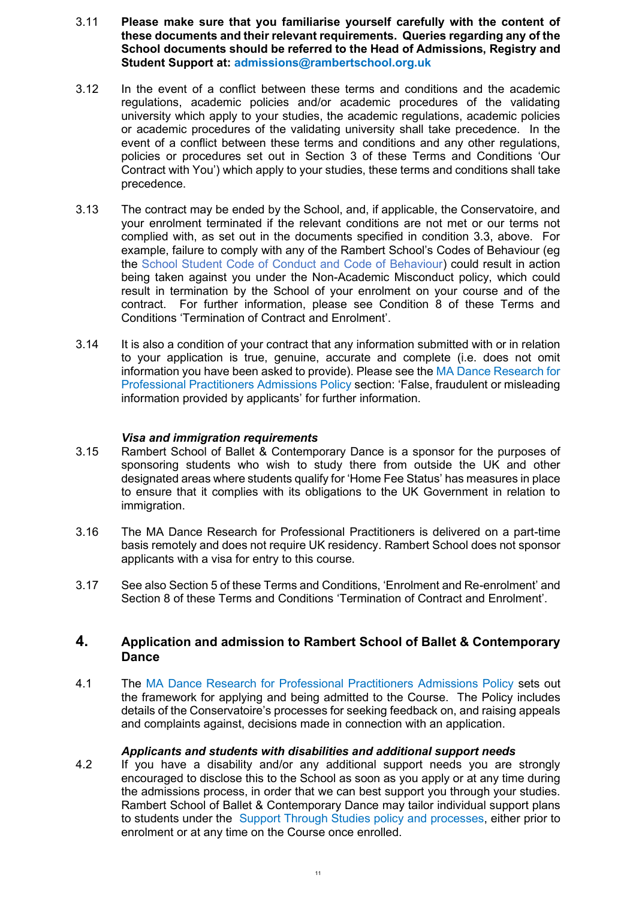- 3.11 **Please make sure that you familiarise yourself carefully with the content of these documents and their relevant requirements. Queries regarding any of the School documents should be referred to the Head of Admissions, Registry and Student Support at: [admissions@rambertschool.org.uk](mailto:admissions@rambertschool.org.uk)**
- 3.12 In the event of a conflict between these terms and conditions and the academic regulations, academic policies and/or academic procedures of the validating university which apply to your studies, the academic regulations, academic policies or academic procedures of the validating university shall take precedence. In the event of a conflict between these terms and conditions and any other regulations, policies or procedures set out in Section 3 of these Terms and Conditions 'Our Contract with You') which apply to your studies, these terms and conditions shall take precedence.
- 3.13 The contract may be ended by the School, and, if applicable, the Conservatoire, and your enrolment terminated if the relevant conditions are not met or our terms not complied with, as set out in the documents specified in condition 3.3, above. For example, failure to comply with any of the Rambert School's Codes of Behaviour (eg the [School Student Code of Conduct and Code of Behaviour\)](https://www.rambertschool.org.uk/courses/undergraduate-courses/fdba-degree/) could result in action being taken against you under the Non-Academic Misconduct policy, which could result in termination by the School of your enrolment on your course and of the contract. For further information, please see Condition 8 of these Terms and Conditions 'Termination of Contract and Enrolment'.
- 3.14 It is also a condition of your contract that any information submitted with or in relation to your application is true, genuine, accurate and complete (i.e. does not omit information you have been asked to provide). Please see the [MA Dance Research for](http://www.cdd.ac.uk/policies/student-related-policies/)  [Professional Practitioners Admissions Policy](http://www.cdd.ac.uk/policies/student-related-policies/) section: 'False, fraudulent or misleading information provided by applicants' for further information.

#### *Visa and immigration requirements*

- 3.15 Rambert School of Ballet & Contemporary Dance is a sponsor for the purposes of sponsoring students who wish to study there from outside the UK and other designated areas where students qualify for 'Home Fee Status' has measures in place to ensure that it complies with its obligations to the UK Government in relation to immigration.
- 3.16 The MA Dance Research for Professional Practitioners is delivered on a part-time basis remotely and does not require UK residency. Rambert School does not sponsor applicants with a visa for entry to this course.
- 3.17 See also Section 5 of these Terms and Conditions, 'Enrolment and Re-enrolment' and Section 8 of these Terms and Conditions 'Termination of Contract and Enrolment'.

## **4. Application and admission to Rambert School of Ballet & Contemporary Dance**

4.1 The [MA Dance Research for Professional Practitioners](http://www.cdd.ac.uk/policies/student-related-policies/) Admissions Policy sets out the framework for applying and being admitted to the Course. The Policy includes details of the Conservatoire's processes for seeking feedback on, and raising appeals and complaints against, decisions made in connection with an application.

#### *Applicants and students with disabilities and additional support needs*

4.2 If you have a disability and/or any additional support needs you are strongly encouraged to disclose this to the School as soon as you apply or at any time during the admissions process, in order that we can best support you through your studies. Rambert School of Ballet & Contemporary Dance may tailor individual support plans to students under the [Support Through Studies policy and processes,](http://www.cdd.ac.uk/policies/student-related-policies/) either prior to enrolment or at any time on the Course once enrolled.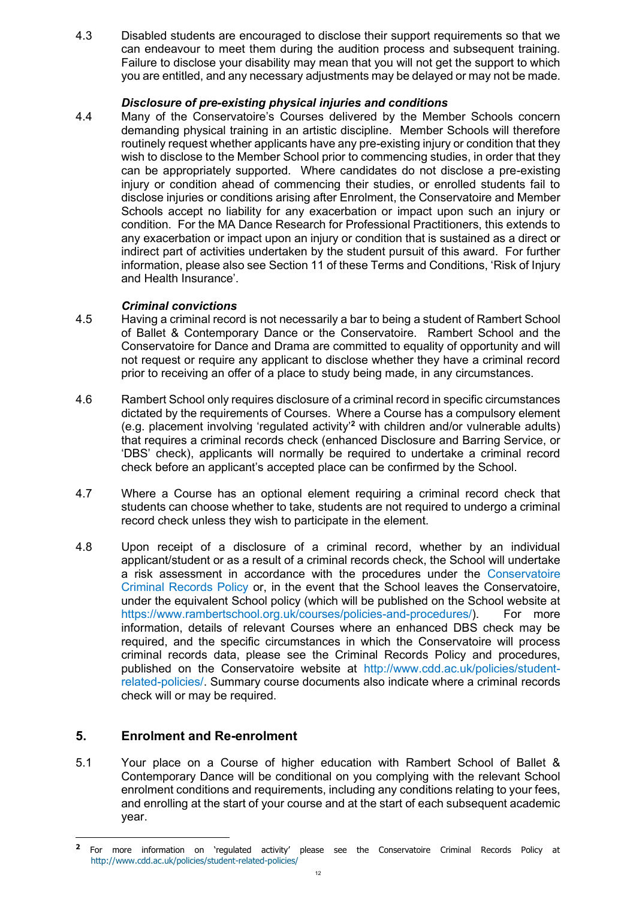4.3 Disabled students are encouraged to disclose their support requirements so that we can endeavour to meet them during the audition process and subsequent training. Failure to disclose your disability may mean that you will not get the support to which you are entitled, and any necessary adjustments may be delayed or may not be made.

#### *Disclosure of pre-existing physical injuries and conditions*

4.4 Many of the Conservatoire's Courses delivered by the Member Schools concern demanding physical training in an artistic discipline. Member Schools will therefore routinely request whether applicants have any pre-existing injury or condition that they wish to disclose to the Member School prior to commencing studies, in order that they can be appropriately supported. Where candidates do not disclose a pre-existing injury or condition ahead of commencing their studies, or enrolled students fail to disclose injuries or conditions arising after Enrolment, the Conservatoire and Member Schools accept no liability for any exacerbation or impact upon such an injury or condition. For the MA Dance Research for Professional Practitioners, this extends to any exacerbation or impact upon an injury or condition that is sustained as a direct or indirect part of activities undertaken by the student pursuit of this award. For further information, please also see Section 11 of these Terms and Conditions, 'Risk of Injury and Health Insurance'.

#### *Criminal convictions*

- 4.5 Having a criminal record is not necessarily a bar to being a student of Rambert School of Ballet & Contemporary Dance or the Conservatoire. Rambert School and the Conservatoire for Dance and Drama are committed to equality of opportunity and will not request or require any applicant to disclose whether they have a criminal record prior to receiving an offer of a place to study being made, in any circumstances.
- 4.6 Rambert School only requires disclosure of a criminal record in specific circumstances dictated by the requirements of Courses. Where a Course has a compulsory element (e.g. placement involving 'regulated activity'**<sup>2</sup>** with children and/or vulnerable adults) that requires a criminal records check (enhanced Disclosure and Barring Service, or 'DBS' check), applicants will normally be required to undertake a criminal record check before an applicant's accepted place can be confirmed by the School.
- 4.7 Where a Course has an optional element requiring a criminal record check that students can choose whether to take, students are not required to undergo a criminal record check unless they wish to participate in the element.
- 4.8 Upon receipt of a disclosure of a criminal record, whether by an individual applicant/student or as a result of a criminal records check, the School will undertake a risk assessment in accordance with the procedures under the [Conservatoire](http://www.cdd.ac.uk/policies/student-related-policies/)  [Criminal Records Policy](http://www.cdd.ac.uk/policies/student-related-policies/) or, in the event that the School leaves the Conservatoire, under the equivalent School policy (which will be published on the School website at [https://www.rambertschool.org.uk/courses/policies-and-procedures/\)](https://www.rambertschool.org.uk/courses/policies-and-procedures/). For more information, details of relevant Courses where an enhanced DBS check may be required, and the specific circumstances in which the Conservatoire will process criminal records data, please see the Criminal Records Policy and procedures, published on the Conservatoire website at [http://www.cdd.ac.uk/policies/student](http://www.cdd.ac.uk/policies/student-related-policies/)[related-policies/.](http://www.cdd.ac.uk/policies/student-related-policies/) Summary course documents also indicate where a criminal records check will or may be required.

## **5. Enrolment and Re-enrolment**

5.1 Your place on a Course of higher education with Rambert School of Ballet & Contemporary Dance will be conditional on you complying with the relevant School enrolment conditions and requirements, including any conditions relating to your fees, and enrolling at the start of your course and at the start of each subsequent academic year.

**<sup>2</sup>** For more information on 'regulated activity' please see the Conservatoire Criminal Records Policy at <http://www.cdd.ac.uk/policies/student-related-policies/>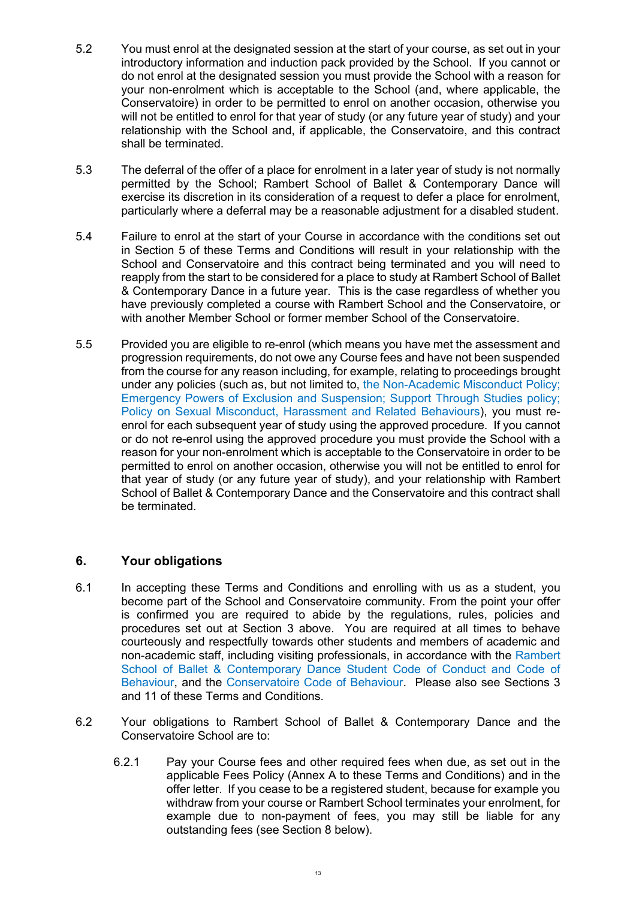- 5.2 You must enrol at the designated session at the start of your course, as set out in your introductory information and induction pack provided by the School. If you cannot or do not enrol at the designated session you must provide the School with a reason for your non-enrolment which is acceptable to the School (and, where applicable, the Conservatoire) in order to be permitted to enrol on another occasion, otherwise you will not be entitled to enrol for that year of study (or any future year of study) and your relationship with the School and, if applicable, the Conservatoire, and this contract shall be terminated.
- 5.3 The deferral of the offer of a place for enrolment in a later year of study is not normally permitted by the School; Rambert School of Ballet & Contemporary Dance will exercise its discretion in its consideration of a request to defer a place for enrolment, particularly where a deferral may be a reasonable adjustment for a disabled student.
- 5.4 Failure to enrol at the start of your Course in accordance with the conditions set out in Section 5 of these Terms and Conditions will result in your relationship with the School and Conservatoire and this contract being terminated and you will need to reapply from the start to be considered for a place to study at Rambert School of Ballet & Contemporary Dance in a future year. This is the case regardless of whether you have previously completed a course with Rambert School and the Conservatoire, or with another Member School or former member School of the Conservatoire.
- 5.5 Provided you are eligible to re-enrol (which means you have met the assessment and progression requirements, do not owe any Course fees and have not been suspended from the course for any reason including, for example, relating to proceedings brought under any policies (such as, but not limited to, [the Non-Academic Misconduct Policy;](http://www.cdd.ac.uk/policies/student-related-policies/)  [Emergency Powers of Exclusion and Suspension; Support Through Studies policy;](http://www.cdd.ac.uk/policies/student-related-policies/)  [Policy on Sexual Misconduct, Harassment and Related Behaviours\)](http://www.cdd.ac.uk/policies/student-related-policies/), you must reenrol for each subsequent year of study using the approved procedure. If you cannot or do not re-enrol using the approved procedure you must provide the School with a reason for your non-enrolment which is acceptable to the Conservatoire in order to be permitted to enrol on another occasion, otherwise you will not be entitled to enrol for that year of study (or any future year of study), and your relationship with Rambert School of Ballet & Contemporary Dance and the Conservatoire and this contract shall be terminated.

## **6. Your obligations**

- 6.1 In accepting these Terms and Conditions and enrolling with us as a student, you become part of the School and Conservatoire community. From the point your offer is confirmed you are required to abide by the regulations, rules, policies and procedures set out at Section 3 above. You are required at all times to behave courteously and respectfully towards other students and members of academic and non-academic staff, including visiting professionals, in accordance with the [Rambert](https://www.rambertschool.org.uk/courses/policies-and-procedures/)  [School of Ballet & Contemporary Dance Student Code of Conduct and Code of](https://www.rambertschool.org.uk/courses/policies-and-procedures/)  [Behaviour,](https://www.rambertschool.org.uk/courses/policies-and-procedures/) and the [Conservatoire Code of Behaviour.](http://www.cdd.ac.uk/policies/student-related-policies/) Please also see Sections 3 and 11 of these Terms and Conditions.
- 6.2 Your obligations to Rambert School of Ballet & Contemporary Dance and the Conservatoire School are to:
	- 6.2.1 Pay your Course fees and other required fees when due, as set out in the applicable Fees Policy (Annex A to these Terms and Conditions) and in the offer letter.If you cease to be a registered student, because for example you withdraw from your course or Rambert School terminates your enrolment, for example due to non-payment of fees, you may still be liable for any outstanding fees (see Section 8 below).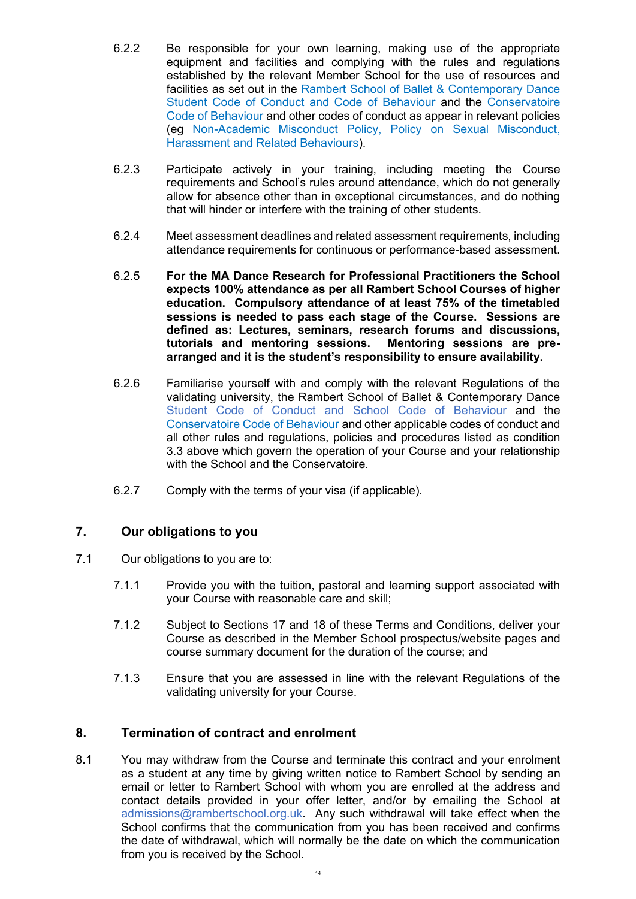- 6.2.2 Be responsible for your own learning, making use of the appropriate equipment and facilities and complying with the rules and regulations established by the relevant Member School for the use of resources and facilities as set out in the [Rambert School of Ballet & Contemporary Dance](https://www.rambertschool.org.uk/courses/undergraduate-courses/fdba-degree/)  [Student Code of Conduct and Code of Behaviour](https://www.rambertschool.org.uk/courses/undergraduate-courses/fdba-degree/) and the [Conservatoire](http://www.cdd.ac.uk/policies/student-related-policies/)  [Code of Behaviour](http://www.cdd.ac.uk/policies/student-related-policies/) and other codes of conduct as appear in relevant policies (eg [Non-Academic Misconduct Policy, Policy on Sexual Misconduct,](http://www.cdd.ac.uk/policies/student-related-policies/)  [Harassment and Related Behaviours\)](http://www.cdd.ac.uk/policies/student-related-policies/).
- 6.2.3 Participate actively in your training, including meeting the Course requirements and School's rules around attendance, which do not generally allow for absence other than in exceptional circumstances, and do nothing that will hinder or interfere with the training of other students.
- 6.2.4 Meet assessment deadlines and related assessment requirements, including attendance requirements for continuous or performance-based assessment.
- 6.2.5 **For the MA Dance Research for Professional Practitioners the School expects 100% attendance as per all Rambert School Courses of higher education. Compulsory attendance of at least 75% of the timetabled sessions is needed to pass each stage of the Course. Sessions are defined as: Lectures, seminars, research forums and discussions, tutorials and mentoring sessions. Mentoring sessions are prearranged and it is the student's responsibility to ensure availability.**
- 6.2.6 Familiarise yourself with and comply with the relevant Regulations of the validating university, the Rambert School of Ballet & Contemporary Dance [Student Code of Conduct and School Code of Behaviour](https://www.rambertschool.org.uk/courses/undergraduate-courses/fdba-degree/) and the [Conservatoire Code of Behaviour](http://www.cdd.ac.uk/policies/student-related-policies/) and other applicable codes of conduct and all other rules and regulations, policies and procedures listed as condition 3.3 above which govern the operation of your Course and your relationship with the School and the Conservatoire.
- 6.2.7 Comply with the terms of your visa (if applicable).

## **7. Our obligations to you**

- 7.1 Our obligations to you are to:
	- 7.1.1 Provide you with the tuition, pastoral and learning support associated with your Course with reasonable care and skill;
	- 7.1.2 Subject to Sections 17 and 18 of these Terms and Conditions, deliver your Course as described in the Member School prospectus/website pages and course summary document for the duration of the course; and
	- 7.1.3 Ensure that you are assessed in line with the relevant Regulations of the validating university for your Course.

## **8. Termination of contract and enrolment**

8.1 You may withdraw from the Course and terminate this contract and your enrolment as a student at any time by giving written notice to Rambert School by sending an email or letter to Rambert School with whom you are enrolled at the address and contact details provided in your offer letter, and/or by emailing the School at [admissions@rambertschool.org.uk.](mailto:admissions@rambertschool.org.uk) Any such withdrawal will take effect when the School confirms that the communication from you has been received and confirms the date of withdrawal, which will normally be the date on which the communication from you is received by the School.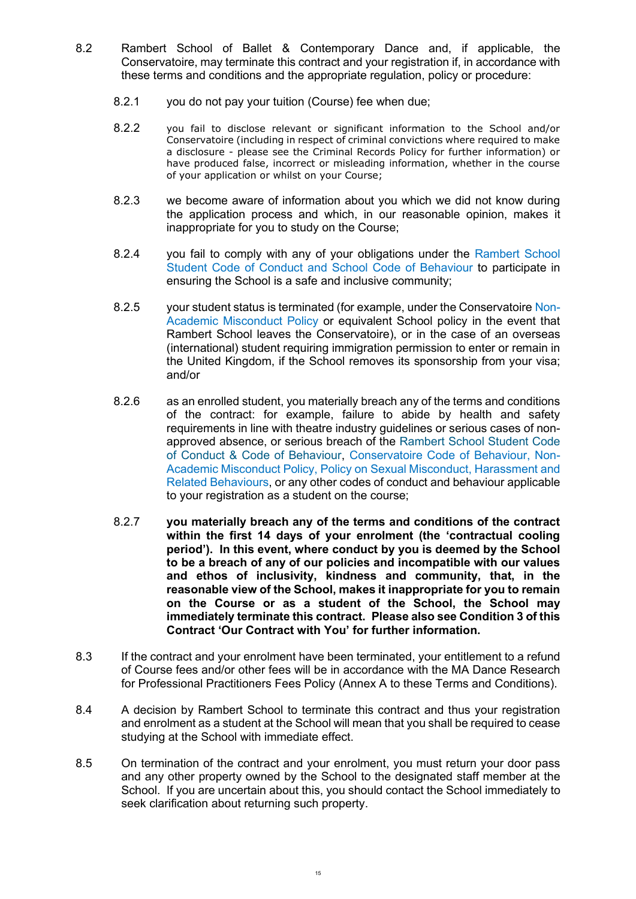- 8.2 Rambert School of Ballet & Contemporary Dance and, if applicable, the Conservatoire, may terminate this contract and your registration if, in accordance with these terms and conditions and the appropriate regulation, policy or procedure:
	- 8.2.1 you do not pay your tuition (Course) fee when due;
	- 8.2.2 you fail to disclose relevant or significant information to the School and/or Conservatoire (including in respect of criminal convictions where required to make a disclosure - please see the Criminal Records Policy for further information) or have produced false, incorrect or misleading information, whether in the course of your application or whilst on your Course;
	- 8.2.3 we become aware of information about you which we did not know during the application process and which, in our reasonable opinion, makes it inappropriate for you to study on the Course;
	- 8.2.4 vou fail to comply with any of your obligations under the Rambert School [Student Code of Conduct and School Code of Behaviour](https://www.rambertschool.org.uk/courses/policies-and-procedures/) to participate in ensuring the School is a safe and inclusive community;
	- 8.2.5 your student status is terminated (for example, under the Conservatoir[e Non-](http://www.cdd.ac.uk/policies/student-related-policies/)[Academic Misconduct Policy](http://www.cdd.ac.uk/policies/student-related-policies/) or equivalent School policy in the event that Rambert School leaves the Conservatoire), or in the case of an overseas (international) student requiring immigration permission to enter or remain in the United Kingdom, if the School removes its sponsorship from your visa; and/or
	- 8.2.6 as an enrolled student, you materially breach any of the terms and conditions of the contract: for example, failure to abide by health and safety requirements in line with theatre industry guidelines or serious cases of nonapproved absence, or serious breach of the [Rambert School Student Code](https://www.rambertschool.org.uk/courses/undergraduate-courses/fdba-degree/)  [of Conduct & Code of Behaviour,](https://www.rambertschool.org.uk/courses/undergraduate-courses/fdba-degree/) [Conservatoire Code of Behaviour, Non-](http://www.cdd.ac.uk/policies/student-related-policies/)[Academic Misconduct Policy, Policy on Sexual Misconduct, Harassment and](http://www.cdd.ac.uk/policies/student-related-policies/)  [Related Behaviours,](http://www.cdd.ac.uk/policies/student-related-policies/) or any other codes of conduct and behaviour applicable to your registration as a student on the course;
	- 8.2.7 **you materially breach any of the terms and conditions of the contract within the first 14 days of your enrolment (the 'contractual cooling period'). In this event, where conduct by you is deemed by the School to be a breach of any of our policies and incompatible with our values and ethos of inclusivity, kindness and community, that, in the reasonable view of the School, makes it inappropriate for you to remain on the Course or as a student of the School, the School may immediately terminate this contract. Please also see Condition 3 of this Contract 'Our Contract with You' for further information.**
- 8.3 If the contract and your enrolment have been terminated, your entitlement to a refund of Course fees and/or other fees will be in accordance with the MA Dance Research for Professional Practitioners Fees Policy (Annex A to these Terms and Conditions).
- 8.4 A decision by Rambert School to terminate this contract and thus your registration and enrolment as a student at the School will mean that you shall be required to cease studying at the School with immediate effect.
- 8.5 On termination of the contract and your enrolment, you must return your door pass and any other property owned by the School to the designated staff member at the School. If you are uncertain about this, you should contact the School immediately to seek clarification about returning such property.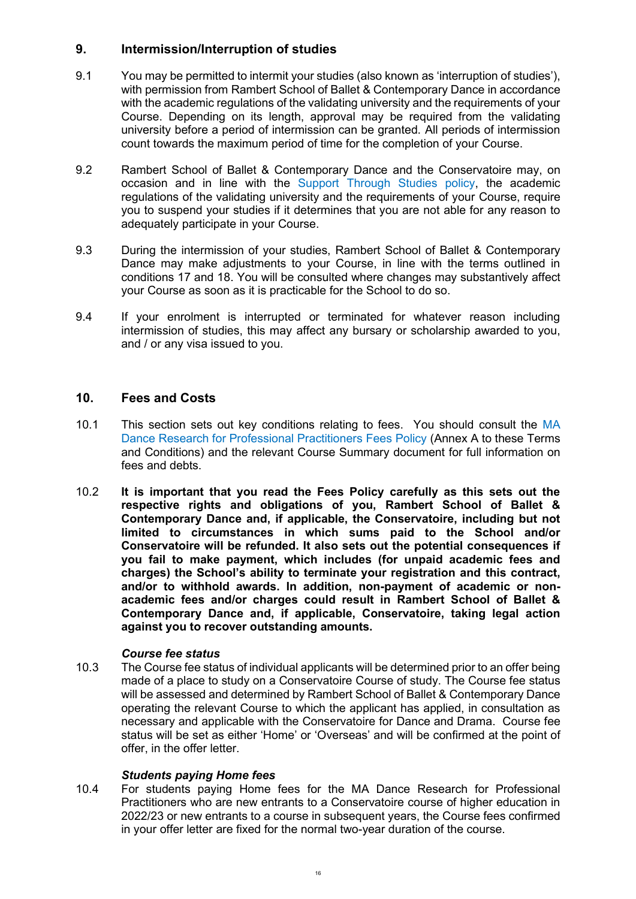## **9. Intermission/Interruption of studies**

- 9.1 You may be permitted to intermit your studies (also known as 'interruption of studies'), with permission from Rambert School of Ballet & Contemporary Dance in accordance with the academic regulations of the validating university and the requirements of your Course. Depending on its length, approval may be required from the validating university before a period of intermission can be granted. All periods of intermission count towards the maximum period of time for the completion of your Course.
- 9.2 Rambert School of Ballet & Contemporary Dance and the Conservatoire may, on occasion and in line with the [Support Through Studies policy,](http://www.cdd.ac.uk/policies/student-related-policies/) the academic regulations of the validating university and the requirements of your Course, require you to suspend your studies if it determines that you are not able for any reason to adequately participate in your Course.
- 9.3 During the intermission of your studies, Rambert School of Ballet & Contemporary Dance may make adjustments to your Course, in line with the terms outlined in conditions 17 and 18. You will be consulted where changes may substantively affect your Course as soon as it is practicable for the School to do so.
- 9.4 If your enrolment is interrupted or terminated for whatever reason including intermission of studies, this may affect any bursary or scholarship awarded to you, and / or any visa issued to you.

#### **10. Fees and Costs**

- 10.1 This section sets out key conditions relating to fees. You should consult the MA [Dance Research for Professional Practitioners](https://www.rambertschool.org.uk/courses/policies-and-procedures/) Fees Policy (Annex A to these Terms and Conditions) and the relevant Course Summary document for full information on fees and debts.
- 10.2 **It is important that you read the Fees Policy carefully as this sets out the respective rights and obligations of you, Rambert School of Ballet & Contemporary Dance and, if applicable, the Conservatoire, including but not limited to circumstances in which sums paid to the School and/or Conservatoire will be refunded. It also sets out the potential consequences if you fail to make payment, which includes (for unpaid academic fees and charges) the School's ability to terminate your registration and this contract, and/or to withhold awards. In addition, non-payment of academic or nonacademic fees and/or charges could result in Rambert School of Ballet & Contemporary Dance and, if applicable, Conservatoire, taking legal action against you to recover outstanding amounts.**

#### *Course fee status*

10.3 The Course fee status of individual applicants will be determined prior to an offer being made of a place to study on a Conservatoire Course of study. The Course fee status will be assessed and determined by Rambert School of Ballet & Contemporary Dance operating the relevant Course to which the applicant has applied, in consultation as necessary and applicable with the Conservatoire for Dance and Drama. Course fee status will be set as either 'Home' or 'Overseas' and will be confirmed at the point of offer, in the offer letter.

#### *Students paying Home fees*

10.4 For students paying Home fees for the MA Dance Research for Professional Practitioners who are new entrants to a Conservatoire course of higher education in 2022/23 or new entrants to a course in subsequent years, the Course fees confirmed in your offer letter are fixed for the normal two-year duration of the course.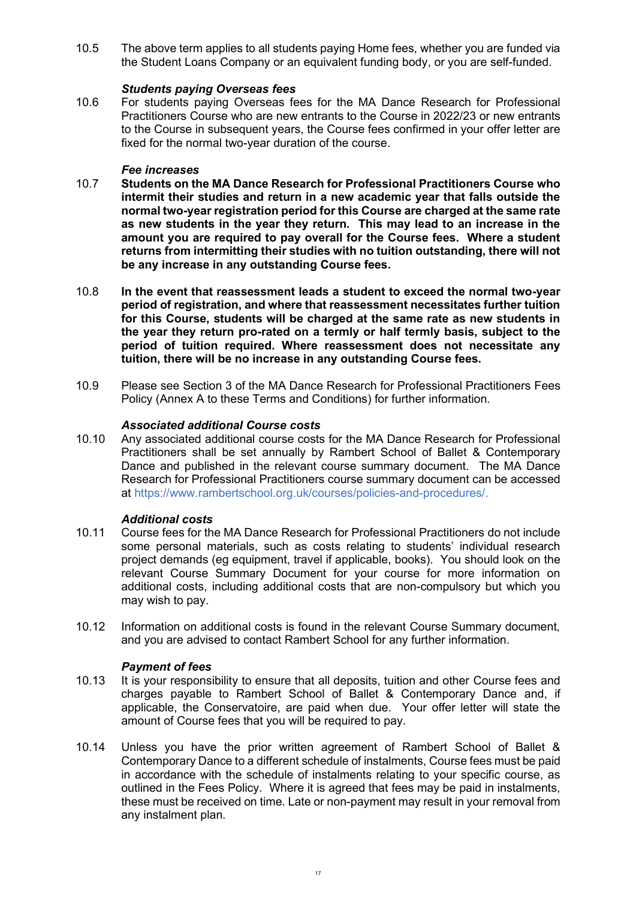10.5 The above term applies to all students paying Home fees, whether you are funded via the Student Loans Company or an equivalent funding body, or you are self-funded.

#### *Students paying Overseas fees*

10.6 For students paying Overseas fees for the MA Dance Research for Professional Practitioners Course who are new entrants to the Course in 2022/23 or new entrants to the Course in subsequent years, the Course fees confirmed in your offer letter are fixed for the normal two-year duration of the course.

#### *Fee increases*

- 10.7 **Students on the MA Dance Research for Professional Practitioners Course who intermit their studies and return in a new academic year that falls outside the normal two-year registration period for this Course are charged at the same rate as new students in the year they return. This may lead to an increase in the amount you are required to pay overall for the Course fees. Where a student returns from intermitting their studies with no tuition outstanding, there will not be any increase in any outstanding Course fees.**
- 10.8 **In the event that reassessment leads a student to exceed the normal two-year period of registration, and where that reassessment necessitates further tuition for this Course, students will be charged at the same rate as new students in the year they return pro-rated on a termly or half termly basis, subject to the period of tuition required. Where reassessment does not necessitate any tuition, there will be no increase in any outstanding Course fees.**
- 10.9 Please see Section 3 of the MA Dance Research for Professional Practitioners Fees Policy (Annex A to these Terms and Conditions) for further information.

#### *Associated additional Course costs*

10.10 Any associated additional course costs for the MA Dance Research for Professional Practitioners shall be set annually by Rambert School of Ballet & Contemporary Dance and published in the relevant course summary document. The MA Dance Research for Professional Practitioners course summary document can be accessed at [https://www.rambertschool.org.uk/courses/policies-and-procedures/.](https://www.rambertschool.org.uk/courses/policies-and-procedures/)

#### *Additional costs*

- 10.11 Course fees for the MA Dance Research for Professional Practitioners do not include some personal materials, such as costs relating to students' individual research project demands (eg equipment, travel if applicable, books). You should look on the relevant Course Summary Document for your course for more information on additional costs, including additional costs that are non-compulsory but which you may wish to pay.
- 10.12 Information on additional costs is found in the relevant Course Summary document, and you are advised to contact Rambert School for any further information.

#### *Payment of fees*

- 10.13 It is your responsibility to ensure that all deposits, tuition and other Course fees and charges payable to Rambert School of Ballet & Contemporary Dance and, if applicable, the Conservatoire, are paid when due. Your offer letter will state the amount of Course fees that you will be required to pay.
- 10.14 Unless you have the prior written agreement of Rambert School of Ballet & Contemporary Dance to a different schedule of instalments, Course fees must be paid in accordance with the schedule of instalments relating to your specific course, as outlined in the Fees Policy. Where it is agreed that fees may be paid in instalments, these must be received on time. Late or non-payment may result in your removal from any instalment plan.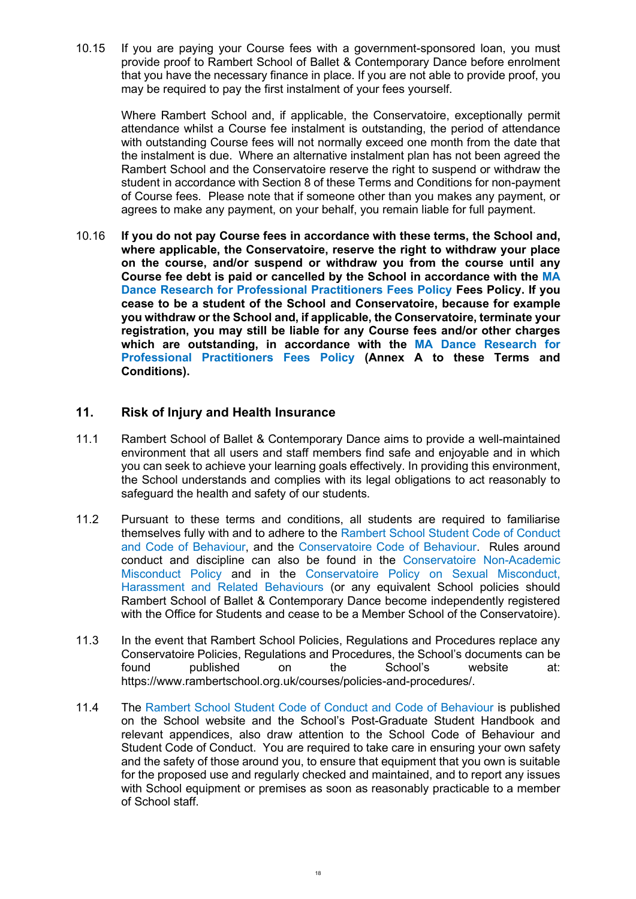10.15 If you are paying your Course fees with a government-sponsored loan, you must provide proof to Rambert School of Ballet & Contemporary Dance before enrolment that you have the necessary finance in place. If you are not able to provide proof, you may be required to pay the first instalment of your fees yourself.

Where Rambert School and, if applicable, the Conservatoire, exceptionally permit attendance whilst a Course fee instalment is outstanding, the period of attendance with outstanding Course fees will not normally exceed one month from the date that the instalment is due. Where an alternative instalment plan has not been agreed the Rambert School and the Conservatoire reserve the right to suspend or withdraw the student in accordance with Section 8 of these Terms and Conditions for non-payment of Course fees. Please note that if someone other than you makes any payment, or agrees to make any payment, on your behalf, you remain liable for full payment.

10.16 **If you do not pay Course fees in accordance with these terms, the School and, where applicable, the Conservatoire, reserve the right to withdraw your place on the course, and/or suspend or withdraw you from the course until any Course fee debt is paid or cancelled by the School in accordance with the [MA](https://www.rambertschool.org.uk/courses/policies-and-procedures/)  [Dance Research for Professional Practitioners Fees Policy](https://www.rambertschool.org.uk/courses/policies-and-procedures/) Fees Policy. If you cease to be a student of the School and Conservatoire, because for example you withdraw or the School and, if applicable, the Conservatoire, terminate your registration, you may still be liable for any Course fees and/or other charges which are outstanding, in accordance with the [MA Dance Research for](https://www.rambertschool.org.uk/courses/policies-and-procedures/)  [Professional Practitioners Fees Policy](https://www.rambertschool.org.uk/courses/policies-and-procedures/) (Annex A to these Terms and Conditions).** 

#### **11. Risk of Injury and Health Insurance**

- 11.1 Rambert School of Ballet & Contemporary Dance aims to provide a well-maintained environment that all users and staff members find safe and enjoyable and in which you can seek to achieve your learning goals effectively. In providing this environment, the School understands and complies with its legal obligations to act reasonably to safeguard the health and safety of our students.
- 11.2 Pursuant to these terms and conditions, all students are required to familiarise themselves fully with and to adhere to the [Rambert School Student Code of Conduct](https://www.rambertschool.org.uk/courses/policies-and-procedures/)  [and Code of Behaviour,](https://www.rambertschool.org.uk/courses/policies-and-procedures/) and the [Conservatoire Code of Behaviour.](http://www.cdd.ac.uk/policies/student-related-policies/) Rules around conduct and discipline can also be found in the [Conservatoire Non-Academic](http://www.cdd.ac.uk/policies/student-related-policies/)  [Misconduct Policy](http://www.cdd.ac.uk/policies/student-related-policies/) and in the [Conservatoire Policy on Sexual Misconduct,](http://www.cdd.ac.uk/policies/student-related-policies/)  [Harassment and Related Behaviours](http://www.cdd.ac.uk/policies/student-related-policies/) (or any equivalent School policies should Rambert School of Ballet & Contemporary Dance become independently registered with the Office for Students and cease to be a Member School of the Conservatoire).
- 11.3 In the event that Rambert School Policies, Regulations and Procedures replace any Conservatoire Policies, Regulations and Procedures, the School's documents can be found published on the School's website at: https://www.rambertschool.org.uk/courses/policies-and-procedures/.
- 11.4 The [Rambert School Student Code of Conduct and Code of Behaviour](https://www.rambertschool.org.uk/courses/policies-and-procedures/) is published on the School website and the School's Post-Graduate Student Handbook and relevant appendices, also draw attention to the School Code of Behaviour and Student Code of Conduct. You are required to take care in ensuring your own safety and the safety of those around you, to ensure that equipment that you own is suitable for the proposed use and regularly checked and maintained, and to report any issues with School equipment or premises as soon as reasonably practicable to a member of School staff.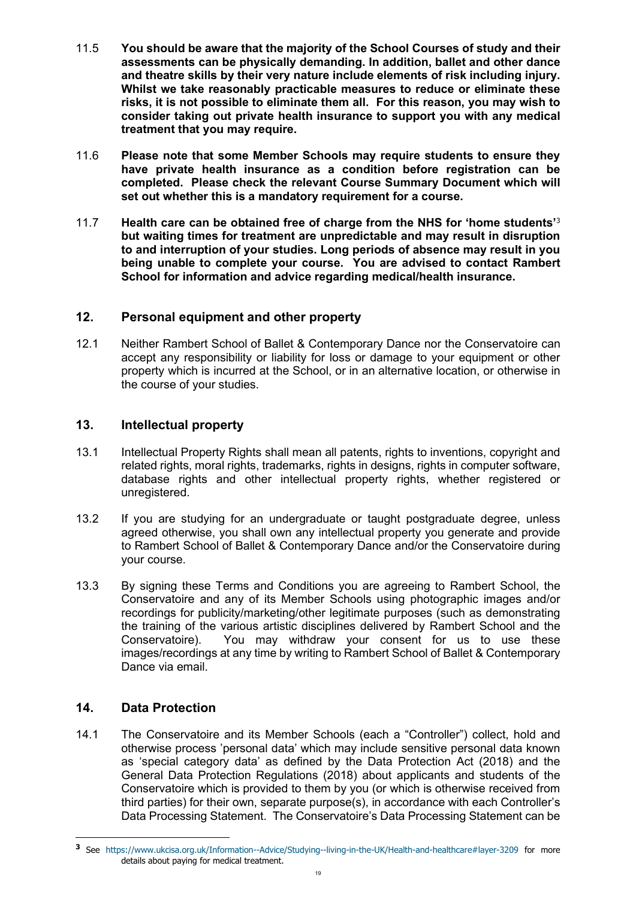- 11.5 **You should be aware that the majority of the School Courses of study and their assessments can be physically demanding. In addition, ballet and other dance and theatre skills by their very nature include elements of risk including injury. Whilst we take reasonably practicable measures to reduce or eliminate these risks, it is not possible to eliminate them all. For this reason, you may wish to consider taking out private health insurance to support you with any medical treatment that you may require.**
- 11.6 **Please note that some Member Schools may require students to ensure they have private health insurance as a condition before registration can be completed. Please check the relevant Course Summary Document which will set out whether this is a mandatory requirement for a course.**
- 11.7 **Health care can be obtained free of charge from the NHS for 'home students'**<sup>3</sup> **but waiting times for treatment are unpredictable and may result in disruption to and interruption of your studies. Long periods of absence may result in you being unable to complete your course. You are advised to contact Rambert School for information and advice regarding medical/health insurance.**

## **12. Personal equipment and other property**

12.1 Neither Rambert School of Ballet & Contemporary Dance nor the Conservatoire can accept any responsibility or liability for loss or damage to your equipment or other property which is incurred at the School, or in an alternative location, or otherwise in the course of your studies.

## **13. Intellectual property**

- 13.1 Intellectual Property Rights shall mean all patents, rights to inventions, copyright and related rights, moral rights, trademarks, rights in designs, rights in computer software, database rights and other intellectual property rights, whether registered or unregistered.
- 13.2 If you are studying for an undergraduate or taught postgraduate degree, unless agreed otherwise, you shall own any intellectual property you generate and provide to Rambert School of Ballet & Contemporary Dance and/or the Conservatoire during your course.
- 13.3 By signing these Terms and Conditions you are agreeing to Rambert School, the Conservatoire and any of its Member Schools using photographic images and/or recordings for publicity/marketing/other legitimate purposes (such as demonstrating the training of the various artistic disciplines delivered by Rambert School and the Conservatoire). You may withdraw your consent for us to use these images/recordings at any time by writing to Rambert School of Ballet & Contemporary Dance via email.

## **14. Data Protection**

14.1 The Conservatoire and its Member Schools (each a "Controller") collect, hold and otherwise process 'personal data' which may include sensitive personal data known as 'special category data' as defined by the Data Protection Act (2018) and the General Data Protection Regulations (2018) about applicants and students of the Conservatoire which is provided to them by you (or which is otherwise received from third parties) for their own, separate purpose(s), in accordance with each Controller's Data Processing Statement. The Conservatoire's Data Processing Statement can be

**<sup>3</sup>** See <https://www.ukcisa.org.uk/Information--Advice/Studying--living-in-the-UK/Health-and-healthcare#layer-3209> for more details about paying for medical treatment.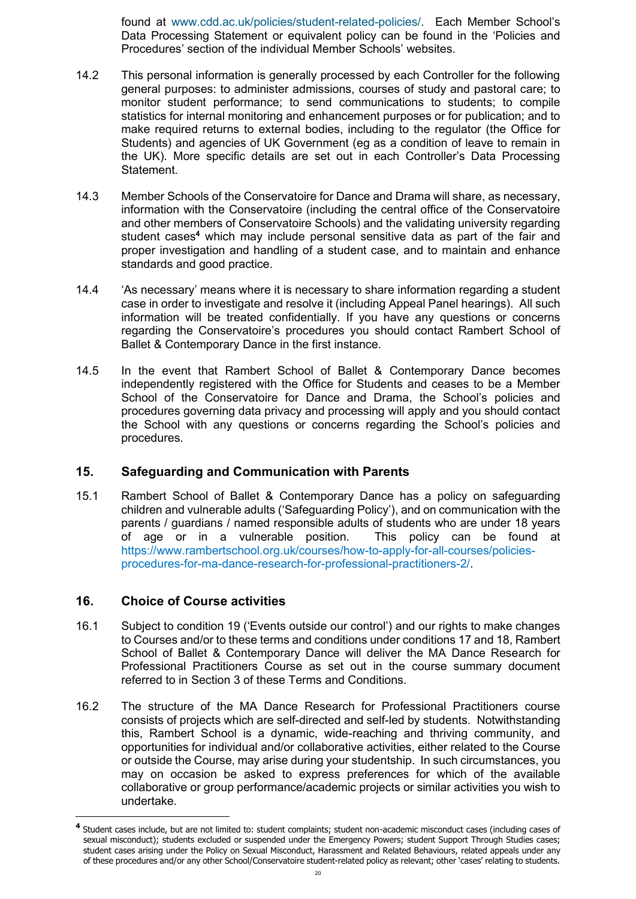found at [www.cdd.ac.uk/policies/student-related-policies/](http://www.cdd.ac.uk/policies/student-related-policies/). Each Member School's Data Processing Statement or equivalent policy can be found in the 'Policies and Procedures' section of the individual Member Schools' websites.

- 14.2 This personal information is generally processed by each Controller for the following general purposes: to administer admissions, courses of study and pastoral care; to monitor student performance; to send communications to students; to compile statistics for internal monitoring and enhancement purposes or for publication; and to make required returns to external bodies, including to the regulator (the Office for Students) and agencies of UK Government (eg as a condition of leave to remain in the UK). More specific details are set out in each Controller's Data Processing Statement.
- 14.3 Member Schools of the Conservatoire for Dance and Drama will share, as necessary, information with the Conservatoire (including the central office of the Conservatoire and other members of Conservatoire Schools) and the validating university regarding student cases**<sup>4</sup>** which may include personal sensitive data as part of the fair and proper investigation and handling of a student case, and to maintain and enhance standards and good practice.
- 14.4 'As necessary' means where it is necessary to share information regarding a student case in order to investigate and resolve it (including Appeal Panel hearings). All such information will be treated confidentially. If you have any questions or concerns regarding the Conservatoire's procedures you should contact Rambert School of Ballet & Contemporary Dance in the first instance.
- 14.5 In the event that Rambert School of Ballet & Contemporary Dance becomes independently registered with the Office for Students and ceases to be a Member School of the Conservatoire for Dance and Drama, the School's policies and procedures governing data privacy and processing will apply and you should contact the School with any questions or concerns regarding the School's policies and procedures.

## **15. Safeguarding and Communication with Parents**

15.1 Rambert School of Ballet & Contemporary Dance has a policy on safeguarding children and vulnerable adults ('Safeguarding Policy'), and on communication with the parents / guardians / named responsible adults of students who are under 18 years of age or in a vulnerable position. This policy can be found at [https://www.rambertschool.org.uk/courses/how-to-apply-for-all-courses/policies](https://www.rambertschool.org.uk/courses/how-to-apply-for-all-courses/policies-procedures-for-ma-dance-research-for-professional-practitioners-2/)[procedures-for-ma-dance-research-for-professional-practitioners-2/.](https://www.rambertschool.org.uk/courses/how-to-apply-for-all-courses/policies-procedures-for-ma-dance-research-for-professional-practitioners-2/)

## **16. Choice of Course activities**

- 16.1 Subject to condition 19 ('Events outside our control') and our rights to make changes to Courses and/or to these terms and conditions under conditions 17 and 18, Rambert School of Ballet & Contemporary Dance will deliver the MA Dance Research for Professional Practitioners Course as set out in the course summary document referred to in Section 3 of these Terms and Conditions.
- 16.2 The structure of the MA Dance Research for Professional Practitioners course consists of projects which are self-directed and self-led by students. Notwithstanding this, Rambert School is a dynamic, wide-reaching and thriving community, and opportunities for individual and/or collaborative activities, either related to the Course or outside the Course, may arise during your studentship. In such circumstances, you may on occasion be asked to express preferences for which of the available collaborative or group performance/academic projects or similar activities you wish to undertake.

**<sup>4</sup>** Student cases include, but are not limited to: student complaints; student non-academic misconduct cases (including cases of sexual misconduct); students excluded or suspended under the Emergency Powers; student Support Through Studies cases; student cases arising under the Policy on Sexual Misconduct, Harassment and Related Behaviours, related appeals under any of these procedures and/or any other School/Conservatoire student-related policy as relevant; other 'cases' relating to students.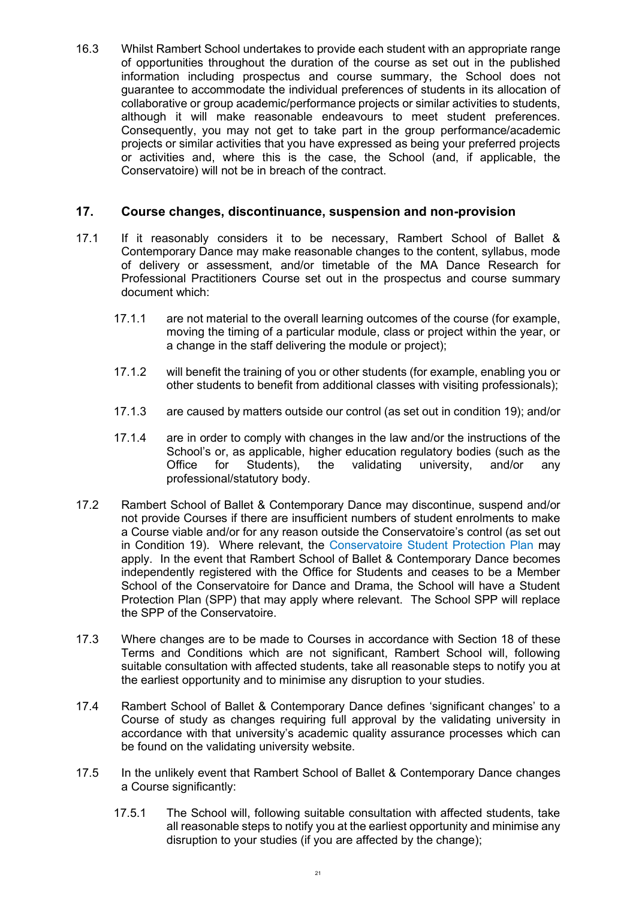16.3 Whilst Rambert School undertakes to provide each student with an appropriate range of opportunities throughout the duration of the course as set out in the published information including prospectus and course summary, the School does not guarantee to accommodate the individual preferences of students in its allocation of collaborative or group academic/performance projects or similar activities to students, although it will make reasonable endeavours to meet student preferences. Consequently, you may not get to take part in the group performance/academic projects or similar activities that you have expressed as being your preferred projects or activities and, where this is the case, the School (and, if applicable, the Conservatoire) will not be in breach of the contract.

## **17. Course changes, discontinuance, suspension and non-provision**

- 17.1 If it reasonably considers it to be necessary, Rambert School of Ballet & Contemporary Dance may make reasonable changes to the content, syllabus, mode of delivery or assessment, and/or timetable of the MA Dance Research for Professional Practitioners Course set out in the prospectus and course summary document which:
	- 17.1.1 are not material to the overall learning outcomes of the course (for example, moving the timing of a particular module, class or project within the year, or a change in the staff delivering the module or project);
	- 17.1.2 will benefit the training of you or other students (for example, enabling you or other students to benefit from additional classes with visiting professionals);
	- 17.1.3 are caused by matters outside our control (as set out in condition 19); and/or
	- 17.1.4 are in order to comply with changes in the law and/or the instructions of the School's or, as applicable, higher education regulatory bodies (such as the Office for Students), the validating university, and/or any professional/statutory body.
- 17.2 Rambert School of Ballet & Contemporary Dance may discontinue, suspend and/or not provide Courses if there are insufficient numbers of student enrolments to make a Course viable and/or for any reason outside the Conservatoire's control (as set out in Condition 19). Where relevant, the [Conservatoire Student Protection Plan](http://www.cdd.ac.uk/policies/student-related-policies/) may apply. In the event that Rambert School of Ballet & Contemporary Dance becomes independently registered with the Office for Students and ceases to be a Member School of the Conservatoire for Dance and Drama, the School will have a Student Protection Plan (SPP) that may apply where relevant. The School SPP will replace the SPP of the Conservatoire.
- 17.3 Where changes are to be made to Courses in accordance with Section 18 of these Terms and Conditions which are not significant, Rambert School will, following suitable consultation with affected students, take all reasonable steps to notify you at the earliest opportunity and to minimise any disruption to your studies.
- 17.4 Rambert School of Ballet & Contemporary Dance defines 'significant changes' to a Course of study as changes requiring full approval by the validating university in accordance with that university's academic quality assurance processes which can be found on the validating university website.
- 17.5 In the unlikely event that Rambert School of Ballet & Contemporary Dance changes a Course significantly:
	- 17.5.1 The School will, following suitable consultation with affected students, take all reasonable steps to notify you at the earliest opportunity and minimise any disruption to your studies (if you are affected by the change);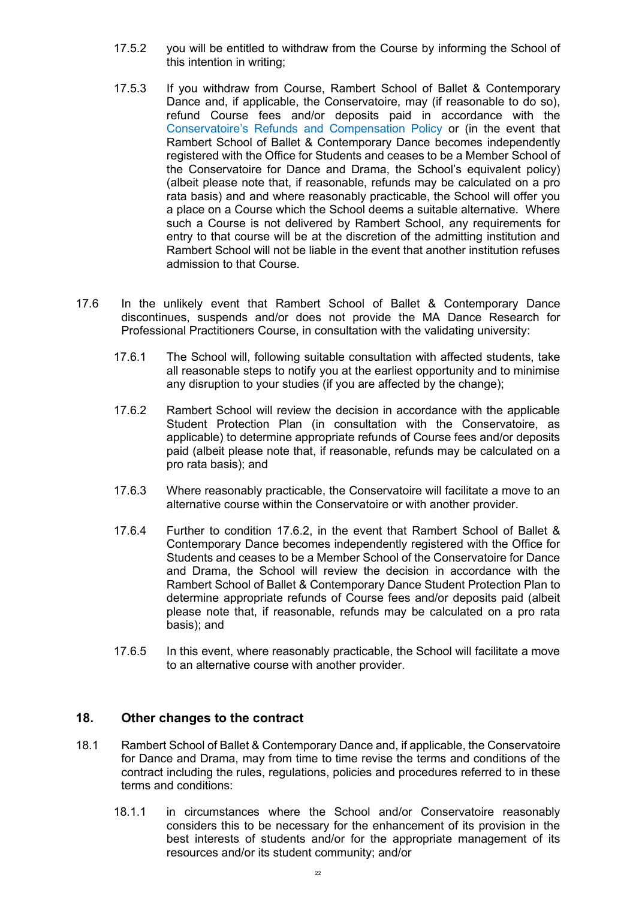- 17.5.2 you will be entitled to withdraw from the Course by informing the School of this intention in writing;
- 17.5.3 If you withdraw from Course, Rambert School of Ballet & Contemporary Dance and, if applicable, the Conservatoire, may (if reasonable to do so), refund Course fees and/or deposits paid in accordance with the [Conservatoire's Refunds and Compensation Policy](http://www.cdd.ac.uk/policies/student-related-policies/) or (in the event that Rambert School of Ballet & Contemporary Dance becomes independently registered with the Office for Students and ceases to be a Member School of the Conservatoire for Dance and Drama, the School's equivalent policy) (albeit please note that, if reasonable, refunds may be calculated on a pro rata basis) and and where reasonably practicable, the School will offer you a place on a Course which the School deems a suitable alternative. Where such a Course is not delivered by Rambert School, any requirements for entry to that course will be at the discretion of the admitting institution and Rambert School will not be liable in the event that another institution refuses admission to that Course.
- 17.6 In the unlikely event that Rambert School of Ballet & Contemporary Dance discontinues, suspends and/or does not provide the MA Dance Research for Professional Practitioners Course, in consultation with the validating university:
	- 17.6.1 The School will, following suitable consultation with affected students, take all reasonable steps to notify you at the earliest opportunity and to minimise any disruption to your studies (if you are affected by the change);
	- 17.6.2 Rambert School will review the decision in accordance with the applicable Student Protection Plan (in consultation with the Conservatoire, as applicable) to determine appropriate refunds of Course fees and/or deposits paid (albeit please note that, if reasonable, refunds may be calculated on a pro rata basis); and
	- 17.6.3 Where reasonably practicable, the Conservatoire will facilitate a move to an alternative course within the Conservatoire or with another provider.
	- 17.6.4 Further to condition 17.6.2, in the event that Rambert School of Ballet & Contemporary Dance becomes independently registered with the Office for Students and ceases to be a Member School of the Conservatoire for Dance and Drama, the School will review the decision in accordance with the Rambert School of Ballet & Contemporary Dance Student Protection Plan to determine appropriate refunds of Course fees and/or deposits paid (albeit please note that, if reasonable, refunds may be calculated on a pro rata basis); and
	- 17.6.5 In this event, where reasonably practicable, the School will facilitate a move to an alternative course with another provider.

#### **18. Other changes to the contract**

- 18.1 Rambert School of Ballet & Contemporary Dance and, if applicable, the Conservatoire for Dance and Drama, may from time to time revise the terms and conditions of the contract including the rules, regulations, policies and procedures referred to in these terms and conditions:
	- 18.1.1 in circumstances where the School and/or Conservatoire reasonably considers this to be necessary for the enhancement of its provision in the best interests of students and/or for the appropriate management of its resources and/or its student community; and/or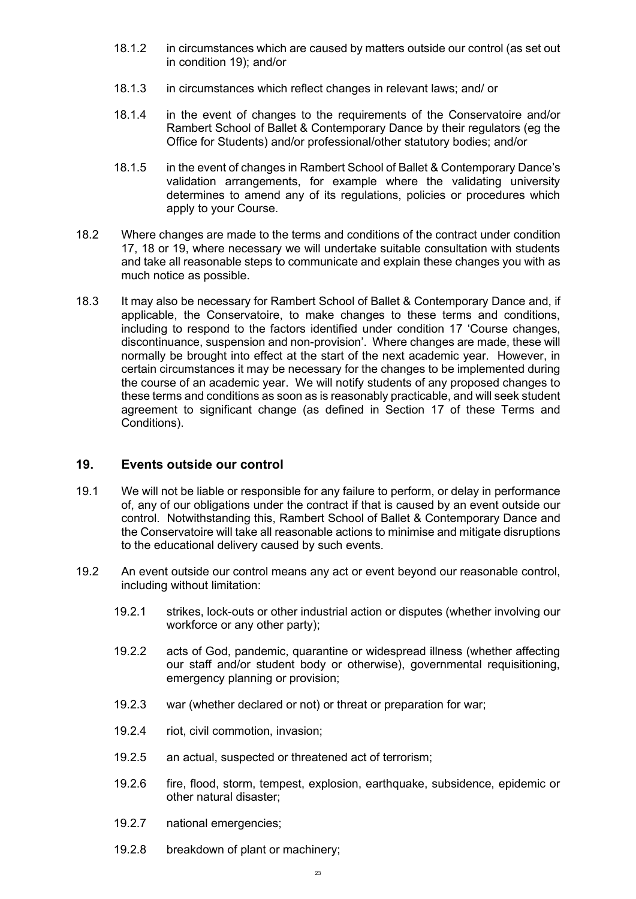- 18.1.2 in circumstances which are caused by matters outside our control (as set out in condition 19); and/or
- 18.1.3 in circumstances which reflect changes in relevant laws; and/ or
- 18.1.4 in the event of changes to the requirements of the Conservatoire and/or Rambert School of Ballet & Contemporary Dance by their regulators (eg the Office for Students) and/or professional/other statutory bodies; and/or
- 18.1.5 in the event of changes in Rambert School of Ballet & Contemporary Dance's validation arrangements, for example where the validating university determines to amend any of its regulations, policies or procedures which apply to your Course.
- 18.2 Where changes are made to the terms and conditions of the contract under condition 17, 18 or 19, where necessary we will undertake suitable consultation with students and take all reasonable steps to communicate and explain these changes you with as much notice as possible.
- 18.3 It may also be necessary for Rambert School of Ballet & Contemporary Dance and, if applicable, the Conservatoire, to make changes to these terms and conditions, including to respond to the factors identified under condition 17 'Course changes, discontinuance, suspension and non-provision'. Where changes are made, these will normally be brought into effect at the start of the next academic year. However, in certain circumstances it may be necessary for the changes to be implemented during the course of an academic year. We will notify students of any proposed changes to these terms and conditions as soon as is reasonably practicable, and will seek student agreement to significant change (as defined in Section 17 of these Terms and Conditions).

#### **19. Events outside our control**

- 19.1 We will not be liable or responsible for any failure to perform, or delay in performance of, any of our obligations under the contract if that is caused by an event outside our control. Notwithstanding this, Rambert School of Ballet & Contemporary Dance and the Conservatoire will take all reasonable actions to minimise and mitigate disruptions to the educational delivery caused by such events.
- 19.2 An event outside our control means any act or event beyond our reasonable control, including without limitation:
	- 19.2.1 strikes, lock-outs or other industrial action or disputes (whether involving our workforce or any other party);
	- 19.2.2 acts of God, pandemic, quarantine or widespread illness (whether affecting our staff and/or student body or otherwise), governmental requisitioning, emergency planning or provision;
	- 19.2.3 war (whether declared or not) or threat or preparation for war;
	- 19.2.4 riot, civil commotion, invasion;
	- 19.2.5 an actual, suspected or threatened act of terrorism;
	- 19.2.6 fire, flood, storm, tempest, explosion, earthquake, subsidence, epidemic or other natural disaster;
	- 19.2.7 national emergencies;
	- 19.2.8 breakdown of plant or machinery;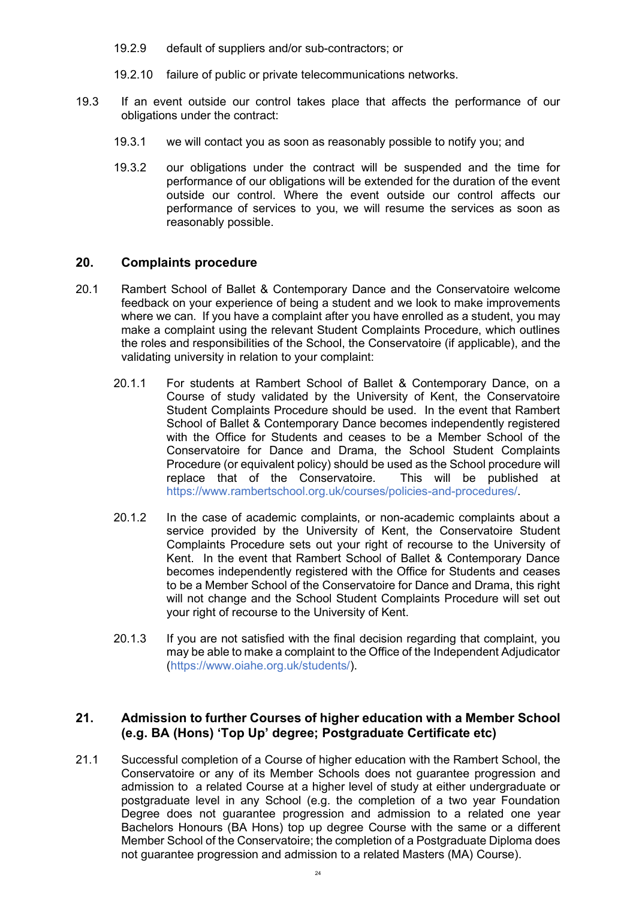- 19.2.9 default of suppliers and/or sub-contractors; or
- 19.2.10 failure of public or private telecommunications networks.
- 19.3 If an event outside our control takes place that affects the performance of our obligations under the contract:
	- 19.3.1 we will contact you as soon as reasonably possible to notify you; and
	- 19.3.2 our obligations under the contract will be suspended and the time for performance of our obligations will be extended for the duration of the event outside our control. Where the event outside our control affects our performance of services to you, we will resume the services as soon as reasonably possible.

#### **20. Complaints procedure**

- 20.1 Rambert School of Ballet & Contemporary Dance and the Conservatoire welcome feedback on your experience of being a student and we look to make improvements where we can. If you have a complaint after you have enrolled as a student, you may make a complaint using the relevant Student Complaints Procedure, which outlines the roles and responsibilities of the School, the Conservatoire (if applicable), and the validating university in relation to your complaint:
	- 20.1.1 For students at Rambert School of Ballet & Contemporary Dance, on a Course of study validated by the University of Kent, the Conservatoire Student Complaints Procedure should be used. In the event that Rambert School of Ballet & Contemporary Dance becomes independently registered with the Office for Students and ceases to be a Member School of the Conservatoire for Dance and Drama, the School Student Complaints Procedure (or equivalent policy) should be used as the School procedure will replace that of the Conservatoire. This will be published at [https://www.rambertschool.org.uk/courses/policies-and-procedures/.](https://www.rambertschool.org.uk/courses/policies-and-procedures/)
	- 20.1.2 In the case of academic complaints, or non-academic complaints about a service provided by the University of Kent, the Conservatoire Student Complaints Procedure sets out your right of recourse to the University of Kent. In the event that Rambert School of Ballet & Contemporary Dance becomes independently registered with the Office for Students and ceases to be a Member School of the Conservatoire for Dance and Drama, this right will not change and the School Student Complaints Procedure will set out your right of recourse to the University of Kent.
	- 20.1.3 If you are not satisfied with the final decision regarding that complaint, you may be able to make a complaint to the Office of the Independent Adjudicator [\(https://www.oiahe.org.uk/students/\)](https://www.oiahe.org.uk/students/).

## **21. Admission to further Courses of higher education with a Member School (e.g. BA (Hons) 'Top Up' degree; Postgraduate Certificate etc)**

21.1 Successful completion of a Course of higher education with the Rambert School, the Conservatoire or any of its Member Schools does not guarantee progression and admission to a related Course at a higher level of study at either undergraduate or postgraduate level in any School (e.g. the completion of a two year Foundation Degree does not guarantee progression and admission to a related one year Bachelors Honours (BA Hons) top up degree Course with the same or a different Member School of the Conservatoire; the completion of a Postgraduate Diploma does not guarantee progression and admission to a related Masters (MA) Course).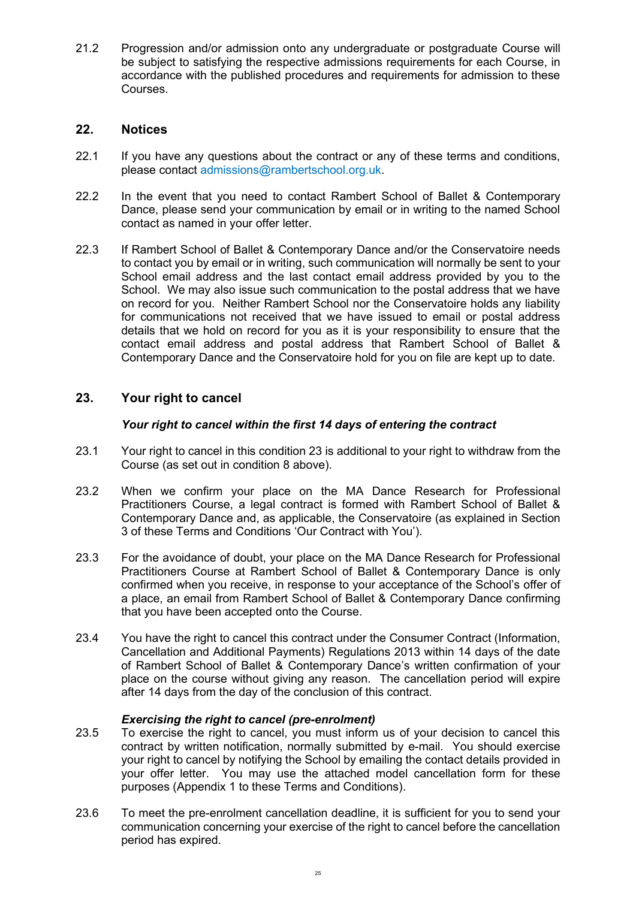21.2 Progression and/or admission onto any undergraduate or postgraduate Course will be subject to satisfying the respective admissions requirements for each Course, in accordance with the published procedures and requirements for admission to these Courses.

#### **22. Notices**

- 22.1 If you have any questions about the contract or any of these terms and conditions, please contact [admissions@rambertschool.org.uk.](mailto:admissions@rambertschool.org.uk)
- 22.2 In the event that you need to contact Rambert School of Ballet & Contemporary Dance, please send your communication by email or in writing to the named School contact as named in your offer letter.
- 22.3 If Rambert School of Ballet & Contemporary Dance and/or the Conservatoire needs to contact you by email or in writing, such communication will normally be sent to your School email address and the last contact email address provided by you to the School. We may also issue such communication to the postal address that we have on record for you. Neither Rambert School nor the Conservatoire holds any liability for communications not received that we have issued to email or postal address details that we hold on record for you as it is your responsibility to ensure that the contact email address and postal address that Rambert School of Ballet & Contemporary Dance and the Conservatoire hold for you on file are kept up to date.

## **23. Your right to cancel**

#### *Your right to cancel within the first 14 days of entering the contract*

- 23.1 Your right to cancel in this condition 23 is additional to your right to withdraw from the Course (as set out in condition 8 above).
- 23.2 When we confirm your place on the MA Dance Research for Professional Practitioners Course, a legal contract is formed with Rambert School of Ballet & Contemporary Dance and, as applicable, the Conservatoire (as explained in Section 3 of these Terms and Conditions 'Our Contract with You').
- 23.3 For the avoidance of doubt, your place on the MA Dance Research for Professional Practitioners Course at Rambert School of Ballet & Contemporary Dance is only confirmed when you receive, in response to your acceptance of the School's offer of a place, an email from Rambert School of Ballet & Contemporary Dance confirming that you have been accepted onto the Course.
- 23.4 You have the right to cancel this contract under the Consumer Contract (Information, Cancellation and Additional Payments) Regulations 2013 within 14 days of the date of Rambert School of Ballet & Contemporary Dance's written confirmation of your place on the course without giving any reason. The cancellation period will expire after 14 days from the day of the conclusion of this contract.

#### *Exercising the right to cancel (pre-enrolment)*

- 23.5 To exercise the right to cancel, you must inform us of your decision to cancel this contract by written notification, normally submitted by e-mail. You should exercise your right to cancel by notifying the School by emailing the contact details provided in your offer letter. You may use the attached model cancellation form for these purposes (Appendix 1 to these Terms and Conditions).
- 23.6 To meet the pre-enrolment cancellation deadline, it is sufficient for you to send your communication concerning your exercise of the right to cancel before the cancellation period has expired.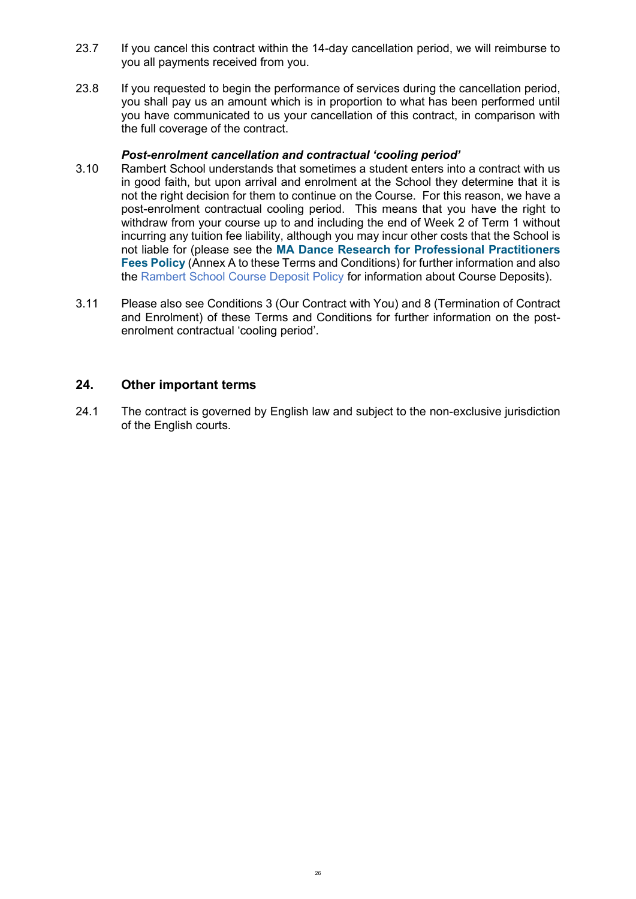- 23.7 If you cancel this contract within the 14-day cancellation period, we will reimburse to you all payments received from you.
- 23.8 If you requested to begin the performance of services during the cancellation period, you shall pay us an amount which is in proportion to what has been performed until you have communicated to us your cancellation of this contract, in comparison with the full coverage of the contract.

#### *Post-enrolment cancellation and contractual 'cooling period'*

- 3.10 Rambert School understands that sometimes a student enters into a contract with us in good faith, but upon arrival and enrolment at the School they determine that it is not the right decision for them to continue on the Course. For this reason, we have a post-enrolment contractual cooling period. This means that you have the right to withdraw from your course up to and including the end of Week 2 of Term 1 without incurring any tuition fee liability, although you may incur other costs that the School is not liable for (please see the **[MA Dance Research for Professional Practitioners](https://www.rambertschool.org.uk/courses/policies-and-procedures/) [Fees Policy](https://www.rambertschool.org.uk/courses/policies-and-procedures/)** (Annex A to these Terms and Conditions) for further information and also the [Rambert School Course Deposit Policy](https://www.rambertschool.org.uk/courses/policies-and-procedures/) for information about Course Deposits).
- 3.11 Please also see Conditions 3 (Our Contract with You) and 8 (Termination of Contract and Enrolment) of these Terms and Conditions for further information on the postenrolment contractual 'cooling period'.

## **24. Other important terms**

24.1 The contract is governed by English law and subject to the non-exclusive jurisdiction of the English courts.